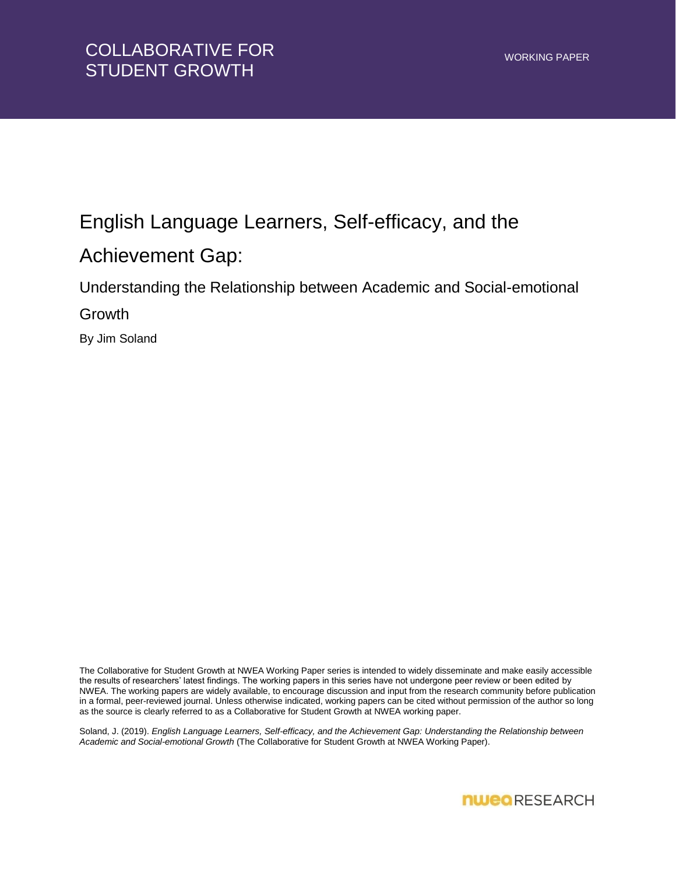## English Language Learners, Self-efficacy, and the Achievement Gap:

Understanding the Relationship between Academic and Social-emotional

Growth

By Jim Soland

The Collaborative for Student Growth at NWEA Working Paper series is intended to widely disseminate and make easily accessible the results of researchers' latest findings. The working papers in this series have not undergone peer review or been edited by NWEA. The working papers are widely available, to encourage discussion and input from the research community before publication in a formal, peer-reviewed journal. Unless otherwise indicated, working papers can be cited without permission of the author so long as the source is clearly referred to as a Collaborative for Student Growth at NWEA working paper.

Soland, J. (2019). *English Language Learners, Self-efficacy, and the Achievement Gap: Understanding the Relationship between Academic and Social-emotional Growth* (The Collaborative for Student Growth at NWEA Working Paper).

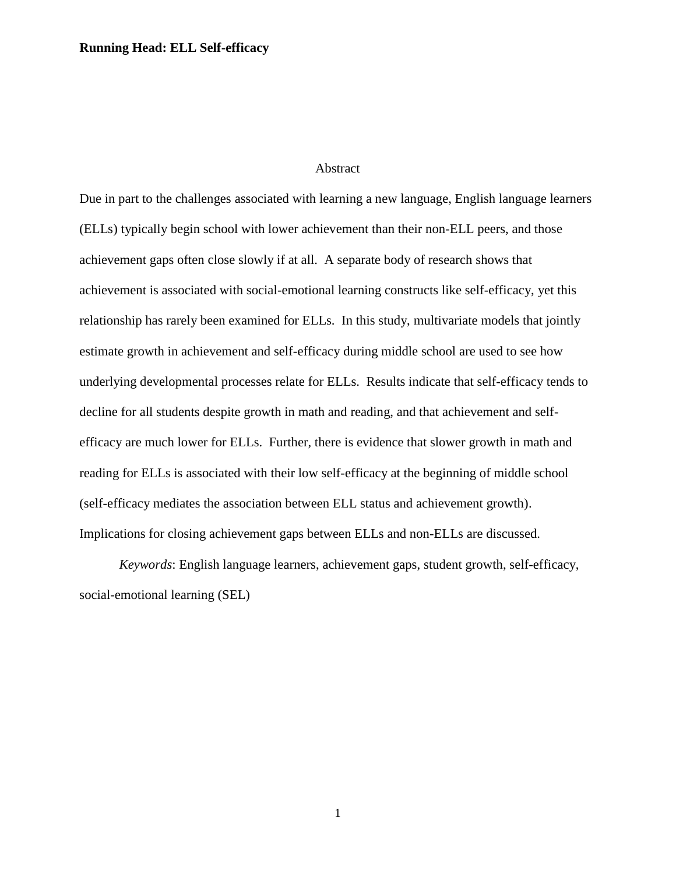#### Abstract

Due in part to the challenges associated with learning a new language, English language learners (ELLs) typically begin school with lower achievement than their non-ELL peers, and those achievement gaps often close slowly if at all. A separate body of research shows that achievement is associated with social-emotional learning constructs like self-efficacy, yet this relationship has rarely been examined for ELLs. In this study, multivariate models that jointly estimate growth in achievement and self-efficacy during middle school are used to see how underlying developmental processes relate for ELLs. Results indicate that self-efficacy tends to decline for all students despite growth in math and reading, and that achievement and selfefficacy are much lower for ELLs. Further, there is evidence that slower growth in math and reading for ELLs is associated with their low self-efficacy at the beginning of middle school (self-efficacy mediates the association between ELL status and achievement growth). Implications for closing achievement gaps between ELLs and non-ELLs are discussed.

*Keywords*: English language learners, achievement gaps, student growth, self-efficacy, social-emotional learning (SEL)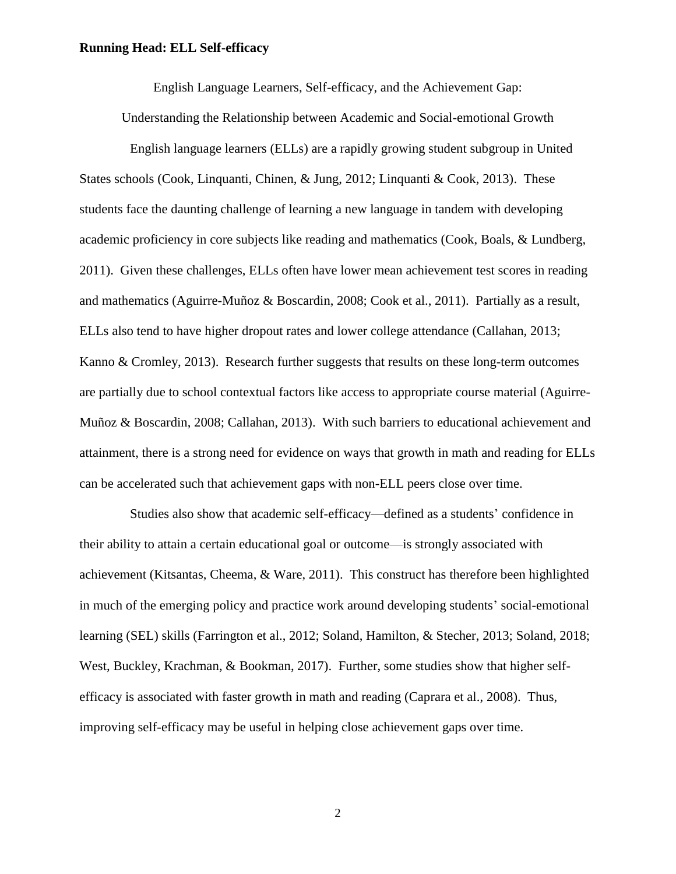English Language Learners, Self-efficacy, and the Achievement Gap:

Understanding the Relationship between Academic and Social-emotional Growth

English language learners (ELLs) are a rapidly growing student subgroup in United States schools (Cook, Linquanti, Chinen, & Jung, 2012; Linquanti & Cook, 2013). These students face the daunting challenge of learning a new language in tandem with developing academic proficiency in core subjects like reading and mathematics (Cook, Boals, & Lundberg, 2011). Given these challenges, ELLs often have lower mean achievement test scores in reading and mathematics (Aguirre-Muñoz & Boscardin, 2008; Cook et al., 2011). Partially as a result, ELLs also tend to have higher dropout rates and lower college attendance (Callahan, 2013; Kanno & Cromley, 2013). Research further suggests that results on these long-term outcomes are partially due to school contextual factors like access to appropriate course material (Aguirre-Muñoz & Boscardin, 2008; Callahan, 2013). With such barriers to educational achievement and attainment, there is a strong need for evidence on ways that growth in math and reading for ELLs can be accelerated such that achievement gaps with non-ELL peers close over time.

Studies also show that academic self-efficacy—defined as a students' confidence in their ability to attain a certain educational goal or outcome—is strongly associated with achievement (Kitsantas, Cheema, & Ware, 2011). This construct has therefore been highlighted in much of the emerging policy and practice work around developing students' social-emotional learning (SEL) skills (Farrington et al., 2012; Soland, Hamilton, & Stecher, 2013; Soland, 2018; West, Buckley, Krachman, & Bookman, 2017). Further, some studies show that higher selfefficacy is associated with faster growth in math and reading (Caprara et al., 2008). Thus, improving self-efficacy may be useful in helping close achievement gaps over time.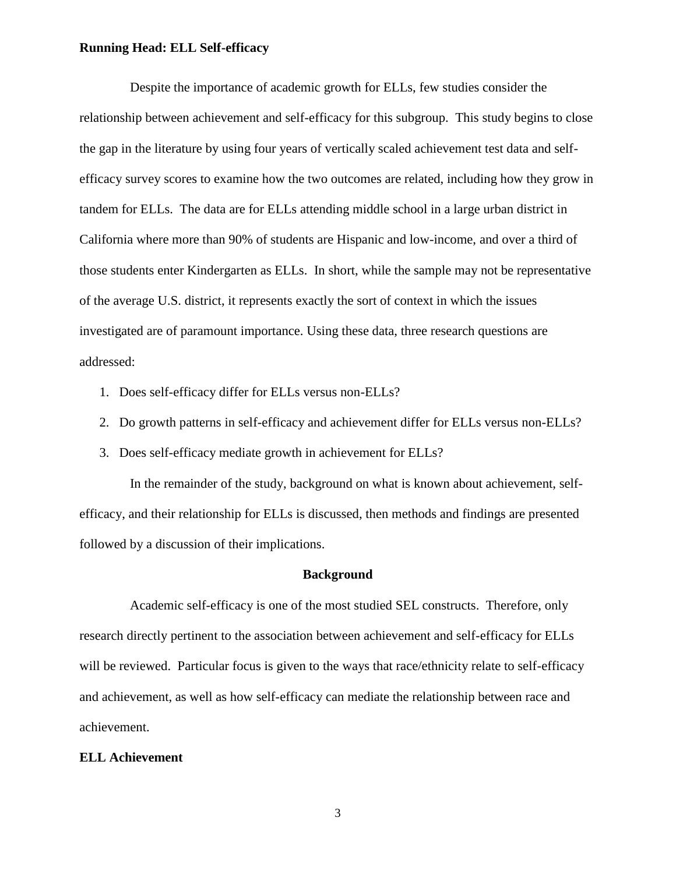Despite the importance of academic growth for ELLs, few studies consider the relationship between achievement and self-efficacy for this subgroup. This study begins to close the gap in the literature by using four years of vertically scaled achievement test data and selfefficacy survey scores to examine how the two outcomes are related, including how they grow in tandem for ELLs. The data are for ELLs attending middle school in a large urban district in California where more than 90% of students are Hispanic and low-income, and over a third of those students enter Kindergarten as ELLs. In short, while the sample may not be representative of the average U.S. district, it represents exactly the sort of context in which the issues investigated are of paramount importance. Using these data, three research questions are addressed:

- 1. Does self-efficacy differ for ELLs versus non-ELLs?
- 2. Do growth patterns in self-efficacy and achievement differ for ELLs versus non-ELLs?
- 3. Does self-efficacy mediate growth in achievement for ELLs?

In the remainder of the study, background on what is known about achievement, selfefficacy, and their relationship for ELLs is discussed, then methods and findings are presented followed by a discussion of their implications.

#### **Background**

Academic self-efficacy is one of the most studied SEL constructs. Therefore, only research directly pertinent to the association between achievement and self-efficacy for ELLs will be reviewed. Particular focus is given to the ways that race/ethnicity relate to self-efficacy and achievement, as well as how self-efficacy can mediate the relationship between race and achievement.

#### **ELL Achievement**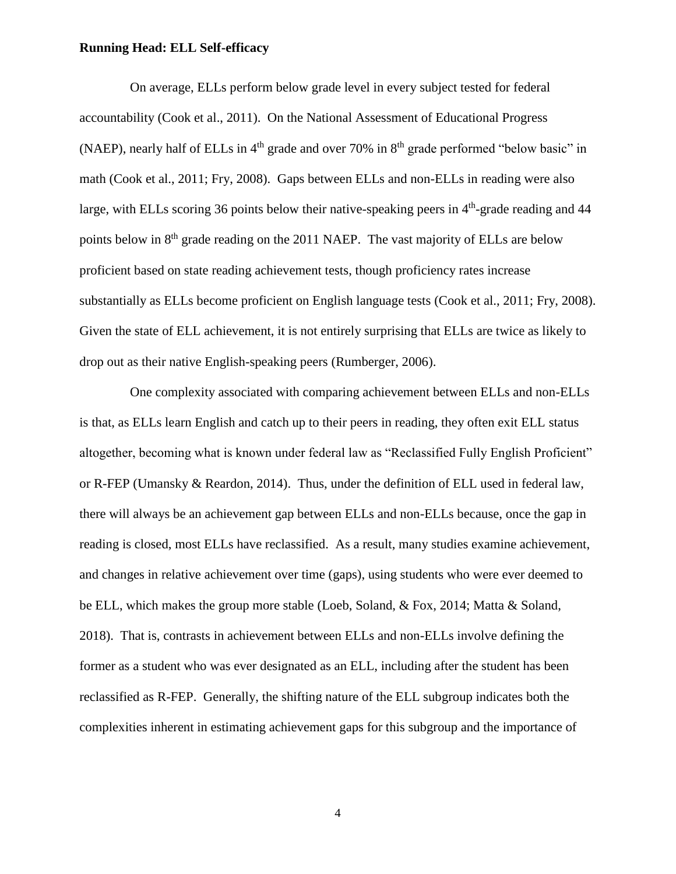On average, ELLs perform below grade level in every subject tested for federal accountability (Cook et al., 2011). On the National Assessment of Educational Progress (NAEP), nearly half of ELLs in  $4<sup>th</sup>$  grade and over 70% in  $8<sup>th</sup>$  grade performed "below basic" in math (Cook et al., 2011; Fry, 2008). Gaps between ELLs and non-ELLs in reading were also large, with ELLs scoring 36 points below their native-speaking peers in 4<sup>th</sup>-grade reading and 44 points below in 8<sup>th</sup> grade reading on the 2011 NAEP. The vast majority of ELLs are below proficient based on state reading achievement tests, though proficiency rates increase substantially as ELLs become proficient on English language tests (Cook et al., 2011; Fry, 2008). Given the state of ELL achievement, it is not entirely surprising that ELLs are twice as likely to drop out as their native English-speaking peers (Rumberger, 2006).

One complexity associated with comparing achievement between ELLs and non-ELLs is that, as ELLs learn English and catch up to their peers in reading, they often exit ELL status altogether, becoming what is known under federal law as "Reclassified Fully English Proficient" or R-FEP (Umansky & Reardon, 2014). Thus, under the definition of ELL used in federal law, there will always be an achievement gap between ELLs and non-ELLs because, once the gap in reading is closed, most ELLs have reclassified. As a result, many studies examine achievement, and changes in relative achievement over time (gaps), using students who were ever deemed to be ELL, which makes the group more stable (Loeb, Soland, & Fox, 2014; Matta & Soland, 2018). That is, contrasts in achievement between ELLs and non-ELLs involve defining the former as a student who was ever designated as an ELL, including after the student has been reclassified as R-FEP. Generally, the shifting nature of the ELL subgroup indicates both the complexities inherent in estimating achievement gaps for this subgroup and the importance of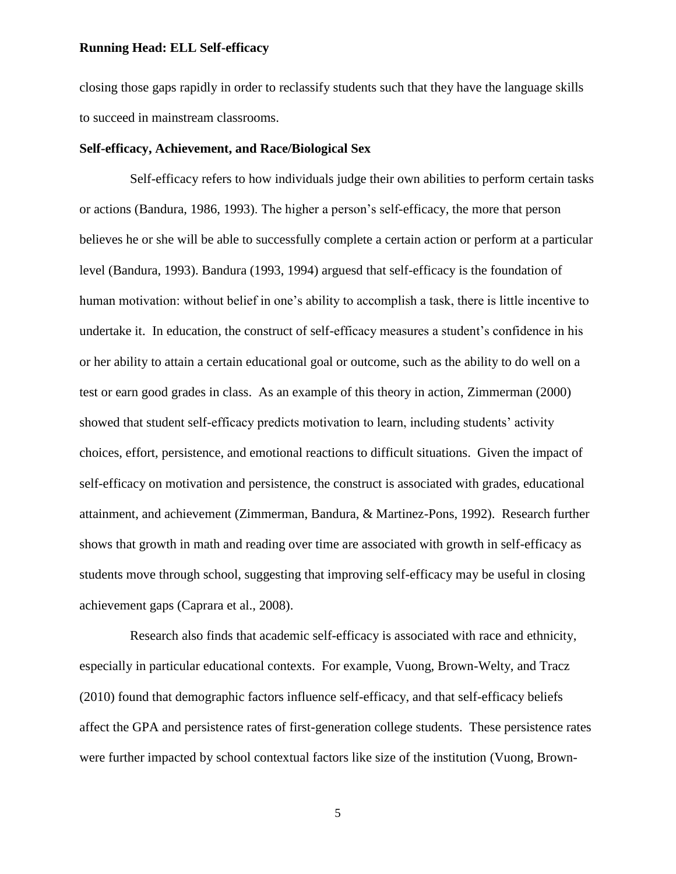closing those gaps rapidly in order to reclassify students such that they have the language skills to succeed in mainstream classrooms.

#### **Self-efficacy, Achievement, and Race/Biological Sex**

Self-efficacy refers to how individuals judge their own abilities to perform certain tasks or actions (Bandura, 1986, 1993). The higher a person's self-efficacy, the more that person believes he or she will be able to successfully complete a certain action or perform at a particular level (Bandura, 1993). Bandura (1993, 1994) arguesd that self-efficacy is the foundation of human motivation: without belief in one's ability to accomplish a task, there is little incentive to undertake it. In education, the construct of self-efficacy measures a student's confidence in his or her ability to attain a certain educational goal or outcome, such as the ability to do well on a test or earn good grades in class. As an example of this theory in action, Zimmerman (2000) showed that student self-efficacy predicts motivation to learn, including students' activity choices, effort, persistence, and emotional reactions to difficult situations. Given the impact of self-efficacy on motivation and persistence, the construct is associated with grades, educational attainment, and achievement (Zimmerman, Bandura, & Martinez-Pons, 1992). Research further shows that growth in math and reading over time are associated with growth in self-efficacy as students move through school, suggesting that improving self-efficacy may be useful in closing achievement gaps (Caprara et al., 2008).

Research also finds that academic self-efficacy is associated with race and ethnicity, especially in particular educational contexts. For example, Vuong, Brown-Welty, and Tracz (2010) found that demographic factors influence self-efficacy, and that self-efficacy beliefs affect the GPA and persistence rates of first-generation college students. These persistence rates were further impacted by school contextual factors like size of the institution (Vuong, Brown-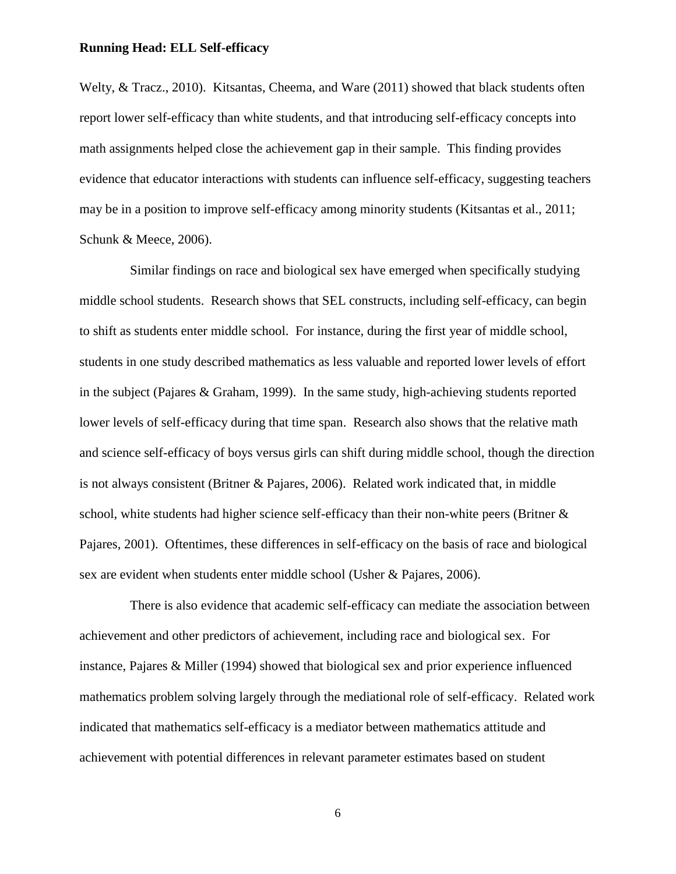Welty, & Tracz., 2010). Kitsantas, Cheema, and Ware (2011) showed that black students often report lower self-efficacy than white students, and that introducing self-efficacy concepts into math assignments helped close the achievement gap in their sample. This finding provides evidence that educator interactions with students can influence self-efficacy, suggesting teachers may be in a position to improve self-efficacy among minority students (Kitsantas et al., 2011; Schunk & Meece, 2006).

Similar findings on race and biological sex have emerged when specifically studying middle school students. Research shows that SEL constructs, including self-efficacy, can begin to shift as students enter middle school. For instance, during the first year of middle school, students in one study described mathematics as less valuable and reported lower levels of effort in the subject (Pajares & Graham, 1999). In the same study, high-achieving students reported lower levels of self-efficacy during that time span. Research also shows that the relative math and science self-efficacy of boys versus girls can shift during middle school, though the direction is not always consistent (Britner & Pajares, 2006). Related work indicated that, in middle school, white students had higher science self-efficacy than their non-white peers (Britner & Pajares, 2001). Oftentimes, these differences in self-efficacy on the basis of race and biological sex are evident when students enter middle school (Usher & Pajares, 2006).

There is also evidence that academic self-efficacy can mediate the association between achievement and other predictors of achievement, including race and biological sex. For instance, Pajares & Miller (1994) showed that biological sex and prior experience influenced mathematics problem solving largely through the mediational role of self-efficacy. Related work indicated that mathematics self-efficacy is a mediator between mathematics attitude and achievement with potential differences in relevant parameter estimates based on student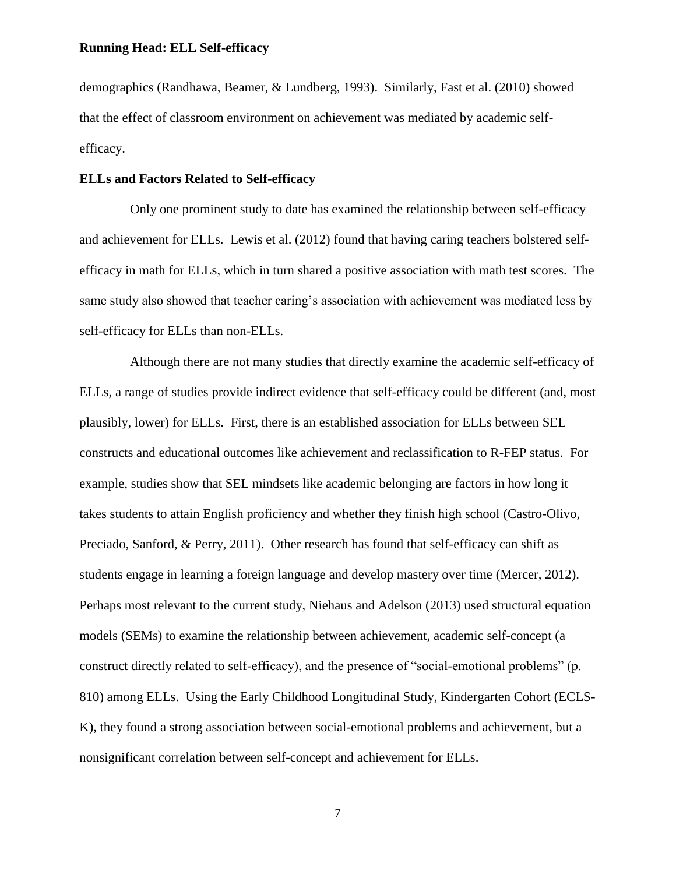demographics (Randhawa, Beamer, & Lundberg, 1993). Similarly, Fast et al. (2010) showed that the effect of classroom environment on achievement was mediated by academic selfefficacy.

#### **ELLs and Factors Related to Self-efficacy**

Only one prominent study to date has examined the relationship between self-efficacy and achievement for ELLs. Lewis et al. (2012) found that having caring teachers bolstered selfefficacy in math for ELLs, which in turn shared a positive association with math test scores. The same study also showed that teacher caring's association with achievement was mediated less by self-efficacy for ELLs than non-ELLs.

Although there are not many studies that directly examine the academic self-efficacy of ELLs, a range of studies provide indirect evidence that self-efficacy could be different (and, most plausibly, lower) for ELLs. First, there is an established association for ELLs between SEL constructs and educational outcomes like achievement and reclassification to R-FEP status. For example, studies show that SEL mindsets like academic belonging are factors in how long it takes students to attain English proficiency and whether they finish high school (Castro-Olivo, Preciado, Sanford, & Perry, 2011). Other research has found that self-efficacy can shift as students engage in learning a foreign language and develop mastery over time (Mercer, 2012). Perhaps most relevant to the current study, Niehaus and Adelson (2013) used structural equation models (SEMs) to examine the relationship between achievement, academic self-concept (a construct directly related to self-efficacy), and the presence of "social-emotional problems" (p. 810) among ELLs. Using the Early Childhood Longitudinal Study, Kindergarten Cohort (ECLS-K), they found a strong association between social-emotional problems and achievement, but a nonsignificant correlation between self-concept and achievement for ELLs.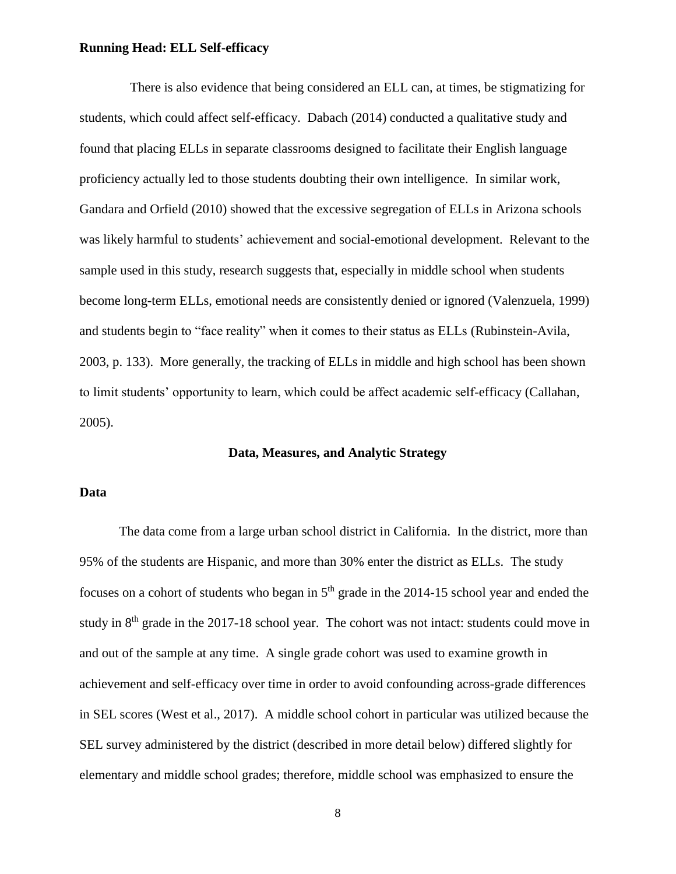There is also evidence that being considered an ELL can, at times, be stigmatizing for students, which could affect self-efficacy. Dabach (2014) conducted a qualitative study and found that placing ELLs in separate classrooms designed to facilitate their English language proficiency actually led to those students doubting their own intelligence. In similar work, Gandara and Orfield (2010) showed that the excessive segregation of ELLs in Arizona schools was likely harmful to students' achievement and social-emotional development. Relevant to the sample used in this study, research suggests that, especially in middle school when students become long-term ELLs, emotional needs are consistently denied or ignored (Valenzuela, 1999) and students begin to "face reality" when it comes to their status as ELLs (Rubinstein-Avila, 2003, p. 133). More generally, the tracking of ELLs in middle and high school has been shown to limit students' opportunity to learn, which could be affect academic self-efficacy (Callahan, 2005).

#### **Data, Measures, and Analytic Strategy**

#### **Data**

The data come from a large urban school district in California. In the district, more than 95% of the students are Hispanic, and more than 30% enter the district as ELLs. The study focuses on a cohort of students who began in  $5<sup>th</sup>$  grade in the 2014-15 school year and ended the study in 8<sup>th</sup> grade in the 2017-18 school year. The cohort was not intact: students could move in and out of the sample at any time. A single grade cohort was used to examine growth in achievement and self-efficacy over time in order to avoid confounding across-grade differences in SEL scores (West et al., 2017). A middle school cohort in particular was utilized because the SEL survey administered by the district (described in more detail below) differed slightly for elementary and middle school grades; therefore, middle school was emphasized to ensure the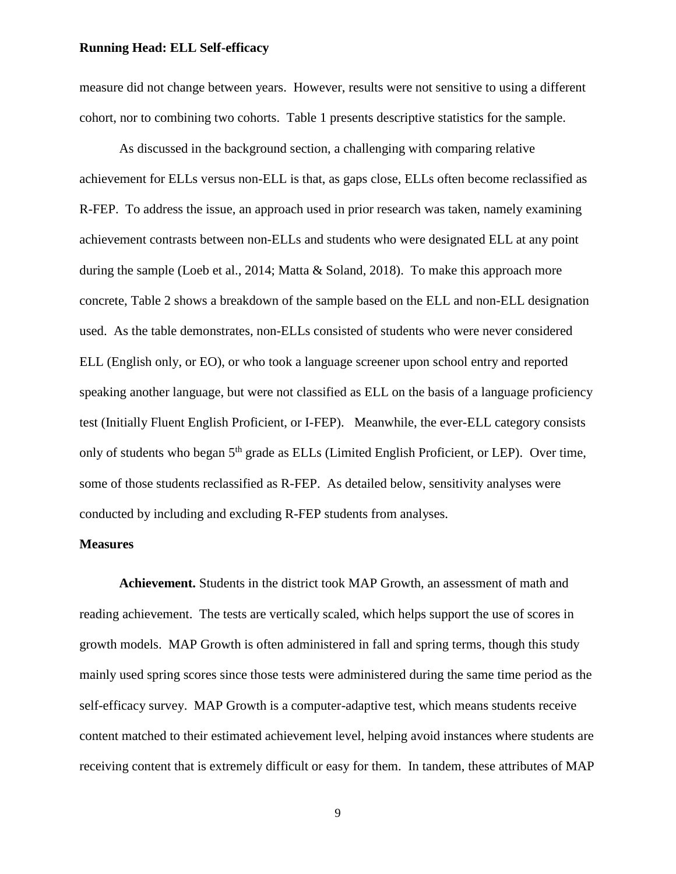measure did not change between years. However, results were not sensitive to using a different cohort, nor to combining two cohorts. Table 1 presents descriptive statistics for the sample.

As discussed in the background section, a challenging with comparing relative achievement for ELLs versus non-ELL is that, as gaps close, ELLs often become reclassified as R-FEP. To address the issue, an approach used in prior research was taken, namely examining achievement contrasts between non-ELLs and students who were designated ELL at any point during the sample (Loeb et al., 2014; Matta & Soland, 2018). To make this approach more concrete, Table 2 shows a breakdown of the sample based on the ELL and non-ELL designation used. As the table demonstrates, non-ELLs consisted of students who were never considered ELL (English only, or EO), or who took a language screener upon school entry and reported speaking another language, but were not classified as ELL on the basis of a language proficiency test (Initially Fluent English Proficient, or I-FEP). Meanwhile, the ever-ELL category consists only of students who began 5<sup>th</sup> grade as ELLs (Limited English Proficient, or LEP). Over time, some of those students reclassified as R-FEP. As detailed below, sensitivity analyses were conducted by including and excluding R-FEP students from analyses.

#### **Measures**

**Achievement.** Students in the district took MAP Growth, an assessment of math and reading achievement. The tests are vertically scaled, which helps support the use of scores in growth models. MAP Growth is often administered in fall and spring terms, though this study mainly used spring scores since those tests were administered during the same time period as the self-efficacy survey. MAP Growth is a computer-adaptive test, which means students receive content matched to their estimated achievement level, helping avoid instances where students are receiving content that is extremely difficult or easy for them. In tandem, these attributes of MAP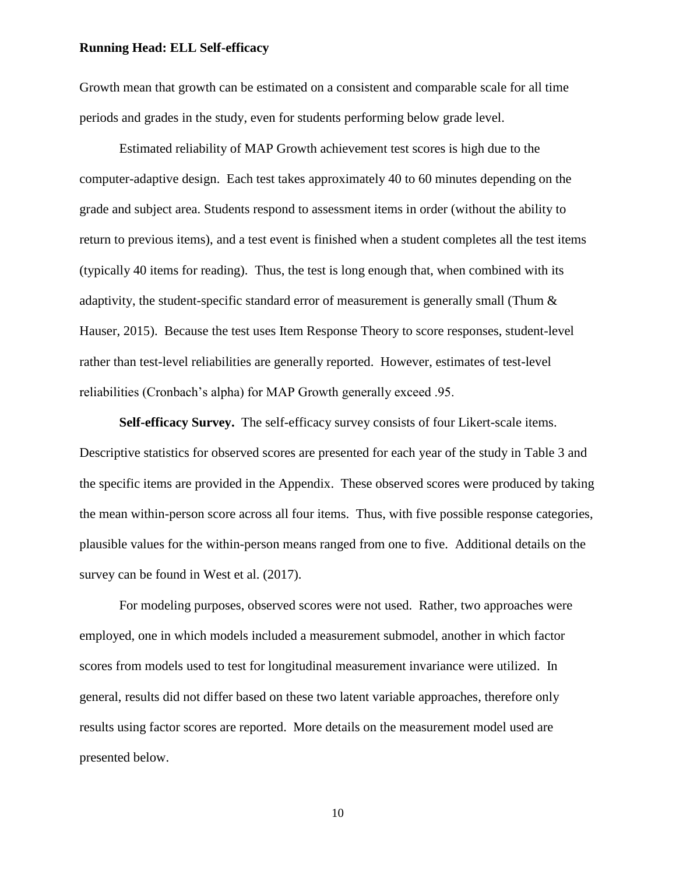Growth mean that growth can be estimated on a consistent and comparable scale for all time periods and grades in the study, even for students performing below grade level.

Estimated reliability of MAP Growth achievement test scores is high due to the computer-adaptive design. Each test takes approximately 40 to 60 minutes depending on the grade and subject area. Students respond to assessment items in order (without the ability to return to previous items), and a test event is finished when a student completes all the test items (typically 40 items for reading). Thus, the test is long enough that, when combined with its adaptivity, the student-specific standard error of measurement is generally small (Thum & Hauser, 2015). Because the test uses Item Response Theory to score responses, student-level rather than test-level reliabilities are generally reported. However, estimates of test-level reliabilities (Cronbach's alpha) for MAP Growth generally exceed .95.

**Self-efficacy Survey.** The self-efficacy survey consists of four Likert-scale items. Descriptive statistics for observed scores are presented for each year of the study in Table 3 and the specific items are provided in the Appendix. These observed scores were produced by taking the mean within-person score across all four items. Thus, with five possible response categories, plausible values for the within-person means ranged from one to five. Additional details on the survey can be found in West et al. (2017).

For modeling purposes, observed scores were not used. Rather, two approaches were employed, one in which models included a measurement submodel, another in which factor scores from models used to test for longitudinal measurement invariance were utilized. In general, results did not differ based on these two latent variable approaches, therefore only results using factor scores are reported. More details on the measurement model used are presented below.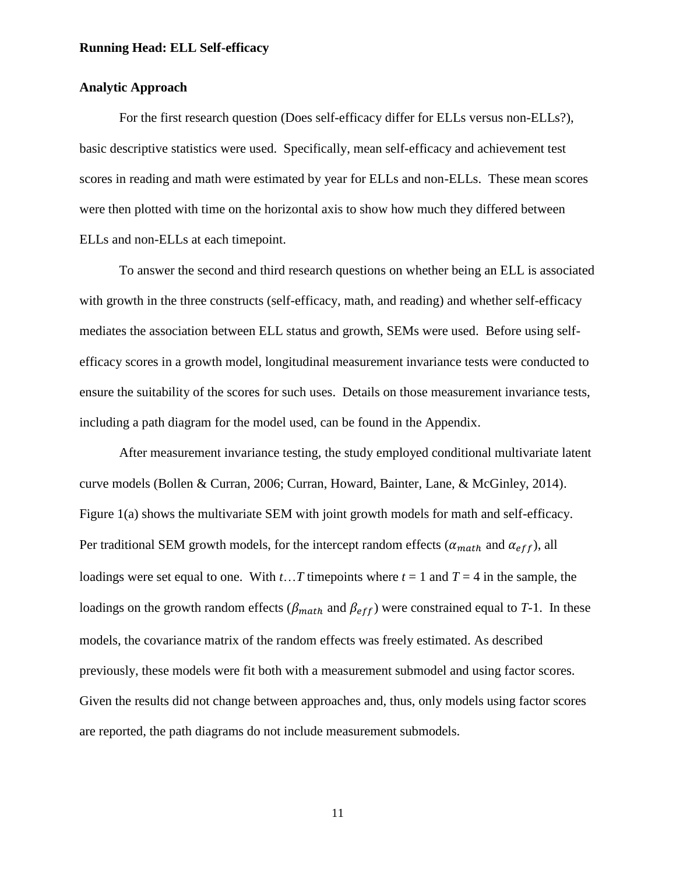#### **Analytic Approach**

For the first research question (Does self-efficacy differ for ELLs versus non-ELLs?), basic descriptive statistics were used. Specifically, mean self-efficacy and achievement test scores in reading and math were estimated by year for ELLs and non-ELLs. These mean scores were then plotted with time on the horizontal axis to show how much they differed between ELLs and non-ELLs at each timepoint.

To answer the second and third research questions on whether being an ELL is associated with growth in the three constructs (self-efficacy, math, and reading) and whether self-efficacy mediates the association between ELL status and growth, SEMs were used. Before using selfefficacy scores in a growth model, longitudinal measurement invariance tests were conducted to ensure the suitability of the scores for such uses. Details on those measurement invariance tests, including a path diagram for the model used, can be found in the Appendix.

After measurement invariance testing, the study employed conditional multivariate latent curve models (Bollen & Curran, 2006; Curran, Howard, Bainter, Lane, & McGinley, 2014). Figure 1(a) shows the multivariate SEM with joint growth models for math and self-efficacy. Per traditional SEM growth models, for the intercept random effects ( $\alpha_{math}$  and  $\alpha_{eff}$ ), all loadings were set equal to one. With *t*…*T* timepoints where  $t = 1$  and  $T = 4$  in the sample, the loadings on the growth random effects ( $\beta_{math}$  and  $\beta_{eff}$ ) were constrained equal to *T*-1. In these models, the covariance matrix of the random effects was freely estimated. As described previously, these models were fit both with a measurement submodel and using factor scores. Given the results did not change between approaches and, thus, only models using factor scores are reported, the path diagrams do not include measurement submodels.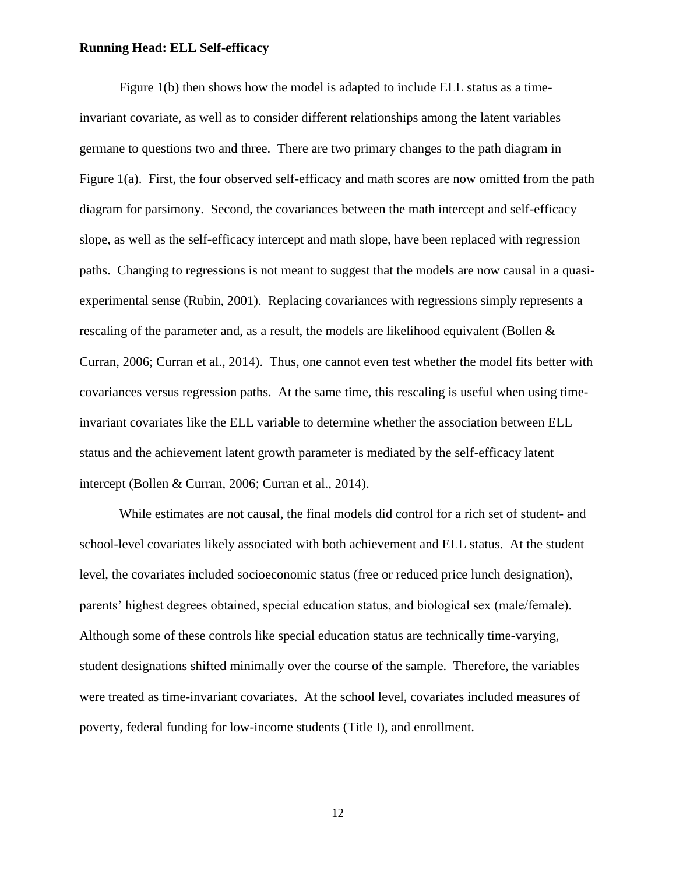Figure 1(b) then shows how the model is adapted to include ELL status as a timeinvariant covariate, as well as to consider different relationships among the latent variables germane to questions two and three. There are two primary changes to the path diagram in Figure 1(a). First, the four observed self-efficacy and math scores are now omitted from the path diagram for parsimony. Second, the covariances between the math intercept and self-efficacy slope, as well as the self-efficacy intercept and math slope, have been replaced with regression paths. Changing to regressions is not meant to suggest that the models are now causal in a quasiexperimental sense (Rubin, 2001). Replacing covariances with regressions simply represents a rescaling of the parameter and, as a result, the models are likelihood equivalent (Bollen & Curran, 2006; Curran et al., 2014). Thus, one cannot even test whether the model fits better with covariances versus regression paths. At the same time, this rescaling is useful when using timeinvariant covariates like the ELL variable to determine whether the association between ELL status and the achievement latent growth parameter is mediated by the self-efficacy latent intercept (Bollen & Curran, 2006; Curran et al., 2014).

While estimates are not causal, the final models did control for a rich set of student- and school-level covariates likely associated with both achievement and ELL status. At the student level, the covariates included socioeconomic status (free or reduced price lunch designation), parents' highest degrees obtained, special education status, and biological sex (male/female). Although some of these controls like special education status are technically time-varying, student designations shifted minimally over the course of the sample. Therefore, the variables were treated as time-invariant covariates. At the school level, covariates included measures of poverty, federal funding for low-income students (Title I), and enrollment.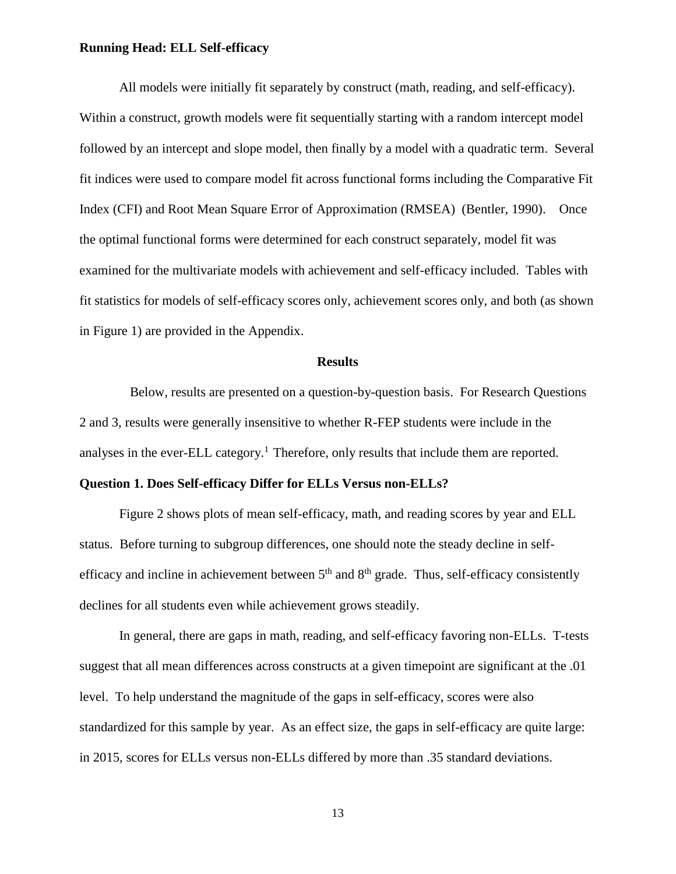All models were initially fit separately by construct (math, reading, and self-efficacy). Within a construct, growth models were fit sequentially starting with a random intercept model followed by an intercept and slope model, then finally by a model with a quadratic term. Several fit indices were used to compare model fit across functional forms including the Comparative Fit Index (CFI) and Root Mean Square Error of Approximation (RMSEA) (Bentler, 1990). Once the optimal functional forms were determined for each construct separately, model fit was examined for the multivariate models with achievement and self-efficacy included. Tables with fit statistics for models of self-efficacy scores only, achievement scores only, and both (as shown in Figure 1) are provided in the Appendix.

#### **Results**

Below, results are presented on a question-by-question basis. For Research Questions 2 and 3, results were generally insensitive to whether R-FEP students were include in the analyses in the ever-ELL category.<sup>1</sup> Therefore, only results that include them are reported.

#### **Question 1. Does Self-efficacy Differ for ELLs Versus non-ELLs?**

Figure 2 shows plots of mean self-efficacy, math, and reading scores by year and ELL status. Before turning to subgroup differences, one should note the steady decline in selfefficacy and incline in achievement between  $5<sup>th</sup>$  and  $8<sup>th</sup>$  grade. Thus, self-efficacy consistently declines for all students even while achievement grows steadily.

In general, there are gaps in math, reading, and self-efficacy favoring non-ELLs. T-tests suggest that all mean differences across constructs at a given timepoint are significant at the .01 level. To help understand the magnitude of the gaps in self-efficacy, scores were also standardized for this sample by year. As an effect size, the gaps in self-efficacy are quite large: in 2015, scores for ELLs versus non-ELLs differed by more than .35 standard deviations.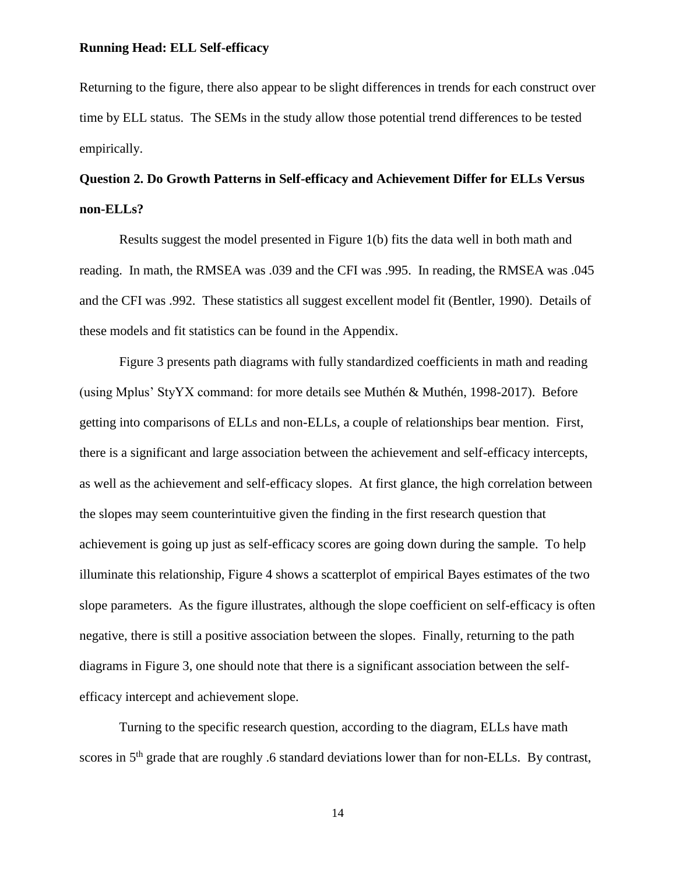Returning to the figure, there also appear to be slight differences in trends for each construct over time by ELL status. The SEMs in the study allow those potential trend differences to be tested empirically.

## **Question 2. Do Growth Patterns in Self-efficacy and Achievement Differ for ELLs Versus non-ELLs?**

Results suggest the model presented in Figure 1(b) fits the data well in both math and reading. In math, the RMSEA was .039 and the CFI was .995. In reading, the RMSEA was .045 and the CFI was .992. These statistics all suggest excellent model fit (Bentler, 1990). Details of these models and fit statistics can be found in the Appendix.

Figure 3 presents path diagrams with fully standardized coefficients in math and reading (using Mplus' StyYX command: for more details see Muthén & Muthén, 1998-2017). Before getting into comparisons of ELLs and non-ELLs, a couple of relationships bear mention. First, there is a significant and large association between the achievement and self-efficacy intercepts, as well as the achievement and self-efficacy slopes. At first glance, the high correlation between the slopes may seem counterintuitive given the finding in the first research question that achievement is going up just as self-efficacy scores are going down during the sample. To help illuminate this relationship, Figure 4 shows a scatterplot of empirical Bayes estimates of the two slope parameters. As the figure illustrates, although the slope coefficient on self-efficacy is often negative, there is still a positive association between the slopes. Finally, returning to the path diagrams in Figure 3, one should note that there is a significant association between the selfefficacy intercept and achievement slope.

Turning to the specific research question, according to the diagram, ELLs have math scores in 5<sup>th</sup> grade that are roughly .6 standard deviations lower than for non-ELLs. By contrast,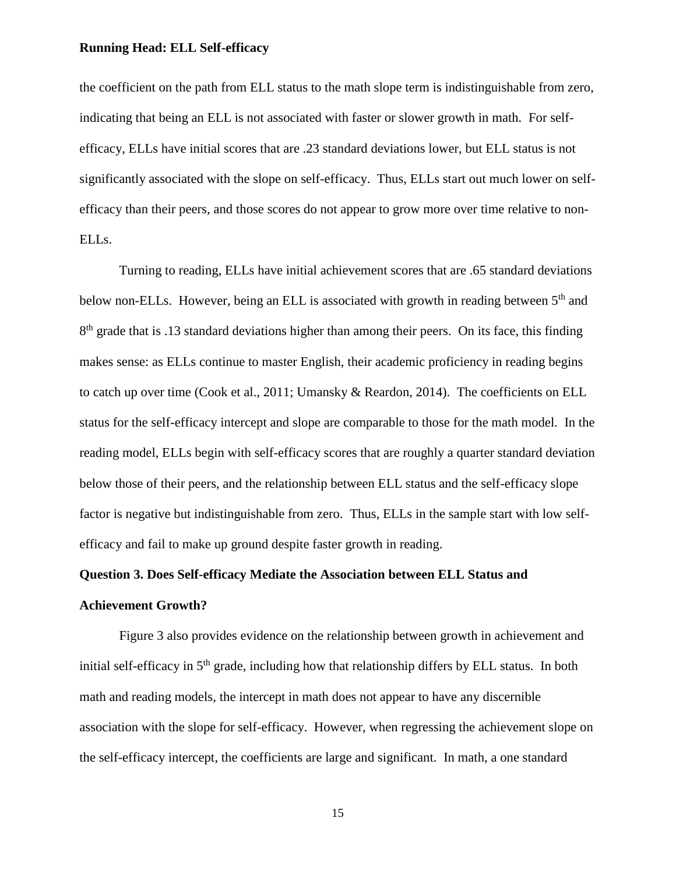the coefficient on the path from ELL status to the math slope term is indistinguishable from zero, indicating that being an ELL is not associated with faster or slower growth in math. For selfefficacy, ELLs have initial scores that are .23 standard deviations lower, but ELL status is not significantly associated with the slope on self-efficacy. Thus, ELLs start out much lower on selfefficacy than their peers, and those scores do not appear to grow more over time relative to non-ELLs.

Turning to reading, ELLs have initial achievement scores that are .65 standard deviations below non-ELLs. However, being an ELL is associated with growth in reading between 5<sup>th</sup> and 8<sup>th</sup> grade that is .13 standard deviations higher than among their peers. On its face, this finding makes sense: as ELLs continue to master English, their academic proficiency in reading begins to catch up over time (Cook et al., 2011; Umansky & Reardon, 2014). The coefficients on ELL status for the self-efficacy intercept and slope are comparable to those for the math model. In the reading model, ELLs begin with self-efficacy scores that are roughly a quarter standard deviation below those of their peers, and the relationship between ELL status and the self-efficacy slope factor is negative but indistinguishable from zero. Thus, ELLs in the sample start with low selfefficacy and fail to make up ground despite faster growth in reading.

# **Question 3. Does Self-efficacy Mediate the Association between ELL Status and**

### **Achievement Growth?**

Figure 3 also provides evidence on the relationship between growth in achievement and initial self-efficacy in 5<sup>th</sup> grade, including how that relationship differs by ELL status. In both math and reading models, the intercept in math does not appear to have any discernible association with the slope for self-efficacy. However, when regressing the achievement slope on the self-efficacy intercept, the coefficients are large and significant. In math, a one standard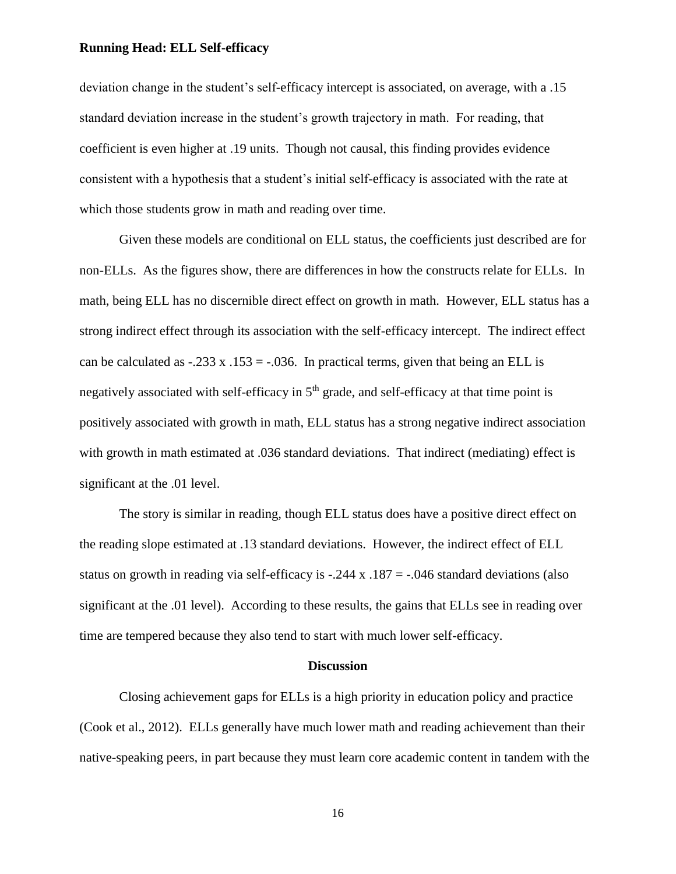deviation change in the student's self-efficacy intercept is associated, on average, with a .15 standard deviation increase in the student's growth trajectory in math. For reading, that coefficient is even higher at .19 units. Though not causal, this finding provides evidence consistent with a hypothesis that a student's initial self-efficacy is associated with the rate at which those students grow in math and reading over time.

Given these models are conditional on ELL status, the coefficients just described are for non-ELLs. As the figures show, there are differences in how the constructs relate for ELLs. In math, being ELL has no discernible direct effect on growth in math. However, ELL status has a strong indirect effect through its association with the self-efficacy intercept. The indirect effect can be calculated as  $-.233 \times .153 = -.036$ . In practical terms, given that being an ELL is negatively associated with self-efficacy in  $5<sup>th</sup>$  grade, and self-efficacy at that time point is positively associated with growth in math, ELL status has a strong negative indirect association with growth in math estimated at .036 standard deviations. That indirect (mediating) effect is significant at the .01 level.

The story is similar in reading, though ELL status does have a positive direct effect on the reading slope estimated at .13 standard deviations. However, the indirect effect of ELL status on growth in reading via self-efficacy is  $-.244 \times .187 = .046$  standard deviations (also significant at the .01 level). According to these results, the gains that ELLs see in reading over time are tempered because they also tend to start with much lower self-efficacy.

#### **Discussion**

Closing achievement gaps for ELLs is a high priority in education policy and practice (Cook et al., 2012). ELLs generally have much lower math and reading achievement than their native-speaking peers, in part because they must learn core academic content in tandem with the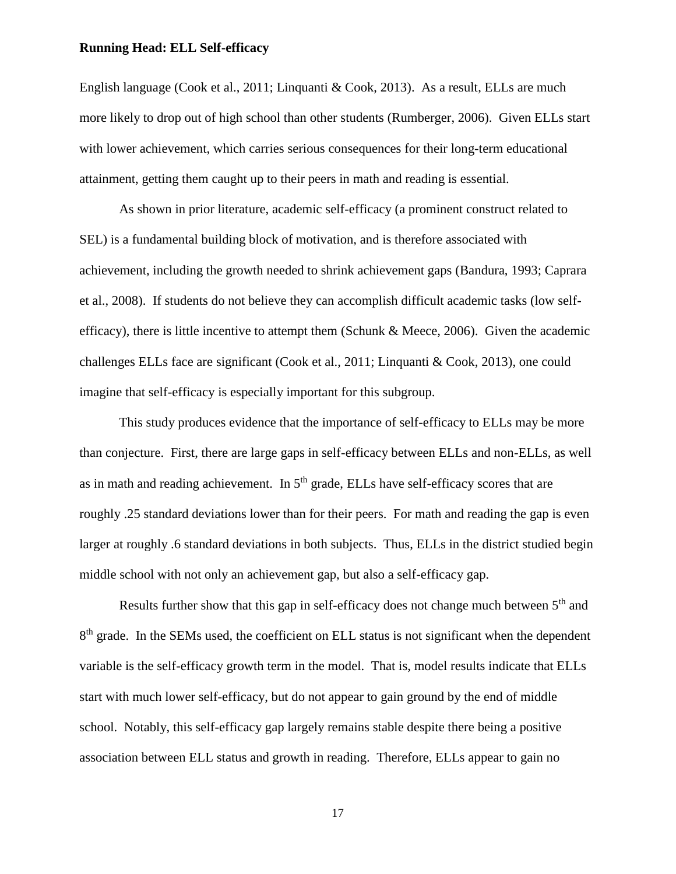English language (Cook et al., 2011; Linquanti & Cook, 2013). As a result, ELLs are much more likely to drop out of high school than other students (Rumberger, 2006). Given ELLs start with lower achievement, which carries serious consequences for their long-term educational attainment, getting them caught up to their peers in math and reading is essential.

As shown in prior literature, academic self-efficacy (a prominent construct related to SEL) is a fundamental building block of motivation, and is therefore associated with achievement, including the growth needed to shrink achievement gaps (Bandura, 1993; Caprara et al., 2008). If students do not believe they can accomplish difficult academic tasks (low selfefficacy), there is little incentive to attempt them (Schunk & Meece, 2006). Given the academic challenges ELLs face are significant (Cook et al., 2011; Linquanti & Cook, 2013), one could imagine that self-efficacy is especially important for this subgroup.

This study produces evidence that the importance of self-efficacy to ELLs may be more than conjecture. First, there are large gaps in self-efficacy between ELLs and non-ELLs, as well as in math and reading achievement. In  $5<sup>th</sup>$  grade, ELLs have self-efficacy scores that are roughly .25 standard deviations lower than for their peers. For math and reading the gap is even larger at roughly .6 standard deviations in both subjects. Thus, ELLs in the district studied begin middle school with not only an achievement gap, but also a self-efficacy gap.

Results further show that this gap in self-efficacy does not change much between  $5<sup>th</sup>$  and 8<sup>th</sup> grade. In the SEMs used, the coefficient on ELL status is not significant when the dependent variable is the self-efficacy growth term in the model. That is, model results indicate that ELLs start with much lower self-efficacy, but do not appear to gain ground by the end of middle school. Notably, this self-efficacy gap largely remains stable despite there being a positive association between ELL status and growth in reading. Therefore, ELLs appear to gain no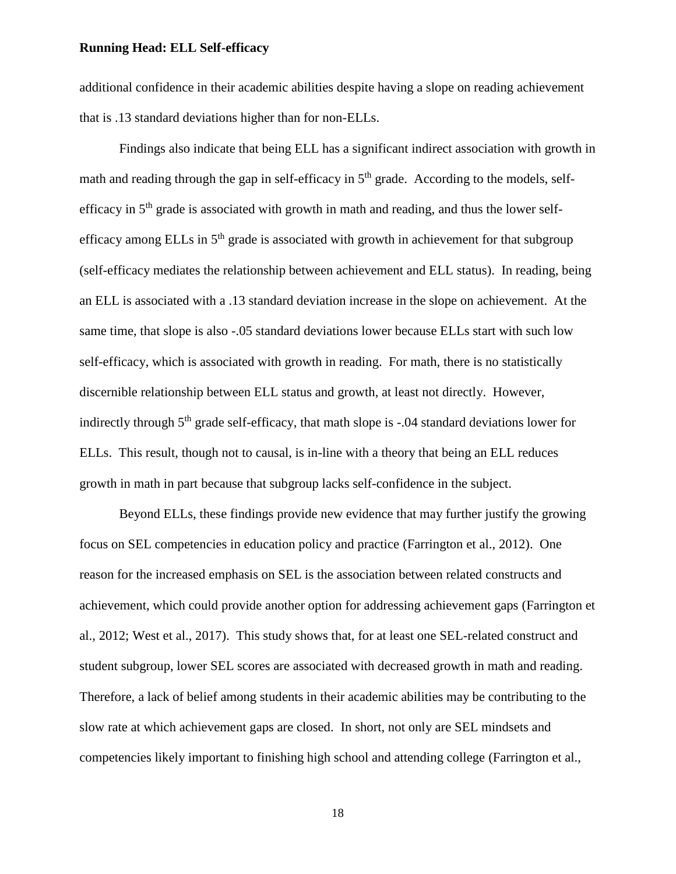additional confidence in their academic abilities despite having a slope on reading achievement that is .13 standard deviations higher than for non-ELLs.

Findings also indicate that being ELL has a significant indirect association with growth in math and reading through the gap in self-efficacy in  $5<sup>th</sup>$  grade. According to the models, selfefficacy in  $5<sup>th</sup>$  grade is associated with growth in math and reading, and thus the lower selfefficacy among ELLs in  $5<sup>th</sup>$  grade is associated with growth in achievement for that subgroup (self-efficacy mediates the relationship between achievement and ELL status). In reading, being an ELL is associated with a .13 standard deviation increase in the slope on achievement. At the same time, that slope is also -.05 standard deviations lower because ELLs start with such low self-efficacy, which is associated with growth in reading. For math, there is no statistically discernible relationship between ELL status and growth, at least not directly. However, indirectly through  $5<sup>th</sup>$  grade self-efficacy, that math slope is -.04 standard deviations lower for ELLs. This result, though not to causal, is in-line with a theory that being an ELL reduces growth in math in part because that subgroup lacks self-confidence in the subject.

Beyond ELLs, these findings provide new evidence that may further justify the growing focus on SEL competencies in education policy and practice (Farrington et al., 2012). One reason for the increased emphasis on SEL is the association between related constructs and achievement, which could provide another option for addressing achievement gaps (Farrington et al., 2012; West et al., 2017). This study shows that, for at least one SEL-related construct and student subgroup, lower SEL scores are associated with decreased growth in math and reading. Therefore, a lack of belief among students in their academic abilities may be contributing to the slow rate at which achievement gaps are closed. In short, not only are SEL mindsets and competencies likely important to finishing high school and attending college (Farrington et al.,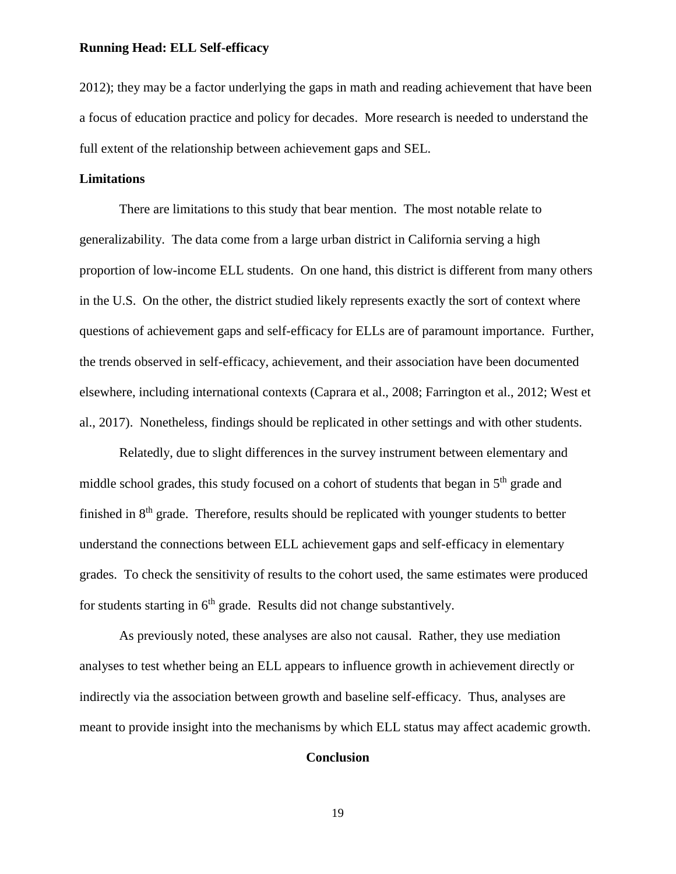2012); they may be a factor underlying the gaps in math and reading achievement that have been a focus of education practice and policy for decades. More research is needed to understand the full extent of the relationship between achievement gaps and SEL.

#### **Limitations**

There are limitations to this study that bear mention. The most notable relate to generalizability. The data come from a large urban district in California serving a high proportion of low-income ELL students. On one hand, this district is different from many others in the U.S. On the other, the district studied likely represents exactly the sort of context where questions of achievement gaps and self-efficacy for ELLs are of paramount importance. Further, the trends observed in self-efficacy, achievement, and their association have been documented elsewhere, including international contexts (Caprara et al., 2008; Farrington et al., 2012; West et al., 2017). Nonetheless, findings should be replicated in other settings and with other students.

Relatedly, due to slight differences in the survey instrument between elementary and middle school grades, this study focused on a cohort of students that began in  $5<sup>th</sup>$  grade and finished in  $8<sup>th</sup>$  grade. Therefore, results should be replicated with younger students to better understand the connections between ELL achievement gaps and self-efficacy in elementary grades. To check the sensitivity of results to the cohort used, the same estimates were produced for students starting in  $6<sup>th</sup>$  grade. Results did not change substantively.

As previously noted, these analyses are also not causal. Rather, they use mediation analyses to test whether being an ELL appears to influence growth in achievement directly or indirectly via the association between growth and baseline self-efficacy. Thus, analyses are meant to provide insight into the mechanisms by which ELL status may affect academic growth.

#### **Conclusion**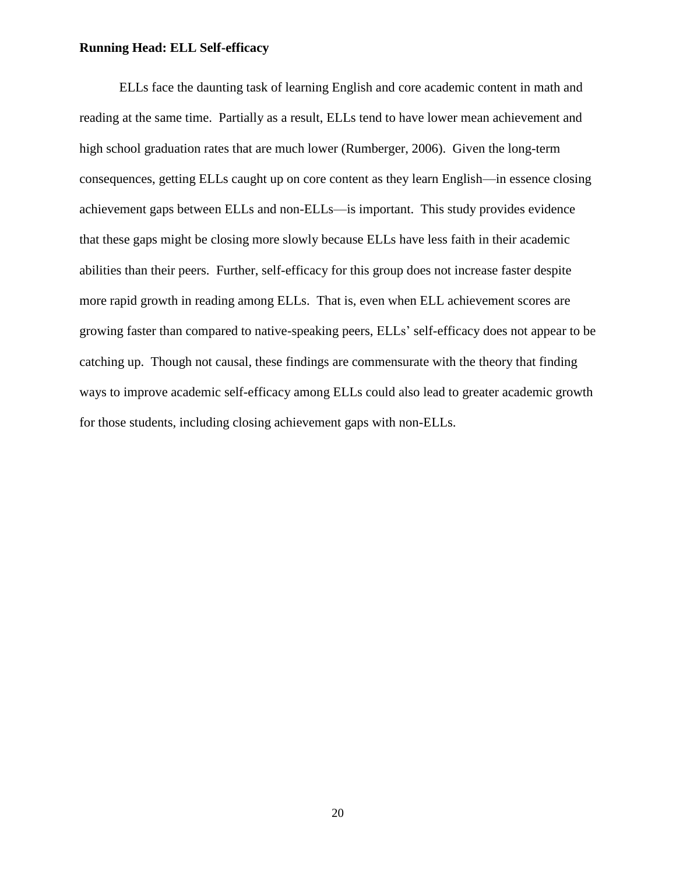ELLs face the daunting task of learning English and core academic content in math and reading at the same time. Partially as a result, ELLs tend to have lower mean achievement and high school graduation rates that are much lower (Rumberger, 2006). Given the long-term consequences, getting ELLs caught up on core content as they learn English—in essence closing achievement gaps between ELLs and non-ELLs—is important. This study provides evidence that these gaps might be closing more slowly because ELLs have less faith in their academic abilities than their peers. Further, self-efficacy for this group does not increase faster despite more rapid growth in reading among ELLs. That is, even when ELL achievement scores are growing faster than compared to native-speaking peers, ELLs' self-efficacy does not appear to be catching up. Though not causal, these findings are commensurate with the theory that finding ways to improve academic self-efficacy among ELLs could also lead to greater academic growth for those students, including closing achievement gaps with non-ELLs.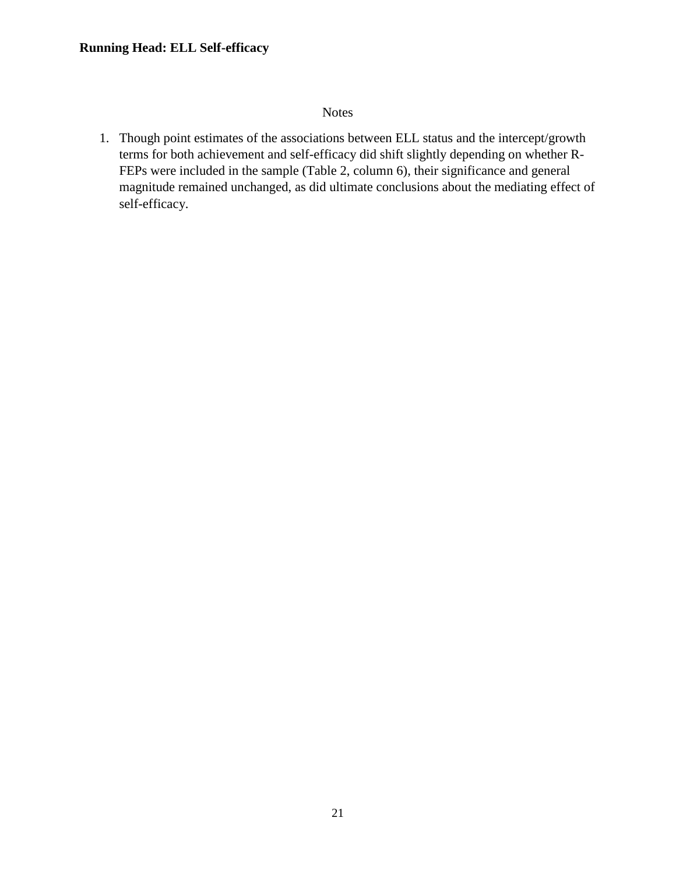#### Notes

1. Though point estimates of the associations between ELL status and the intercept/growth terms for both achievement and self-efficacy did shift slightly depending on whether R-FEPs were included in the sample (Table 2, column 6), their significance and general magnitude remained unchanged, as did ultimate conclusions about the mediating effect of self-efficacy.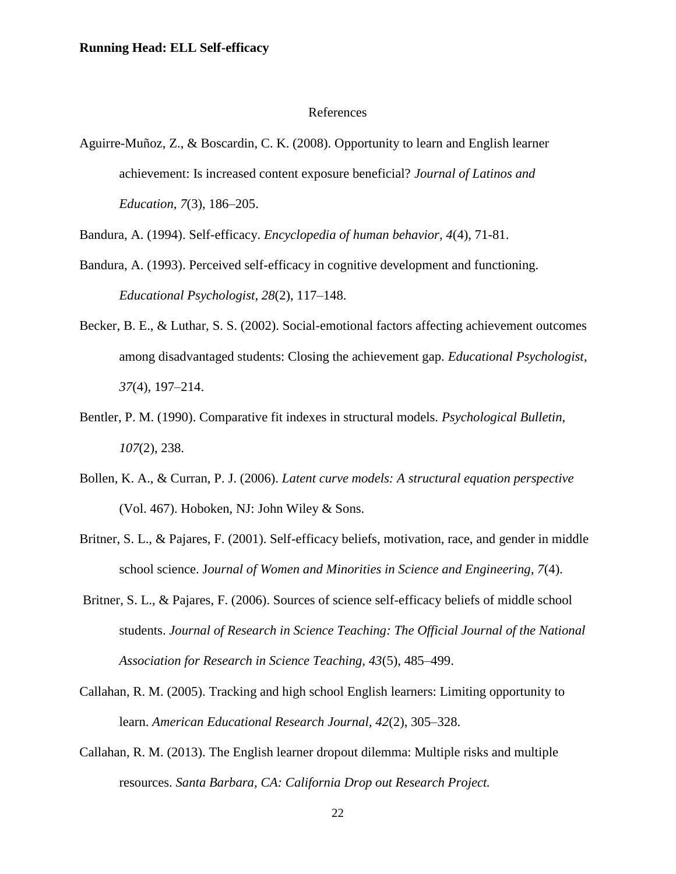#### References

Aguirre-Muñoz, Z., & Boscardin, C. K. (2008). Opportunity to learn and English learner achievement: Is increased content exposure beneficial? *Journal of Latinos and Education*, *7*(3), 186–205.

Bandura, A. (1994). Self-efficacy. *Encyclopedia of human behavior, 4*(4), 71-81.

- Bandura, A. (1993). Perceived self-efficacy in cognitive development and functioning. *Educational Psychologist*, *28*(2), 117–148.
- Becker, B. E., & Luthar, S. S. (2002). Social-emotional factors affecting achievement outcomes among disadvantaged students: Closing the achievement gap. *Educational Psychologist*, *37*(4), 197–214.
- Bentler, P. M. (1990). Comparative fit indexes in structural models. *Psychological Bulletin*, *107*(2), 238.
- Bollen, K. A., & Curran, P. J. (2006). *Latent curve models: A structural equation perspective* (Vol. 467). Hoboken, NJ: John Wiley & Sons.
- Britner, S. L., & Pajares, F. (2001). Self-efficacy beliefs, motivation, race, and gender in middle school science. J*ournal of Women and Minorities in Science and Engineering, 7*(4).
- Britner, S. L., & Pajares, F. (2006). Sources of science self-efficacy beliefs of middle school students. *Journal of Research in Science Teaching: The Official Journal of the National Association for Research in Science Teaching, 43*(5), 485–499.
- Callahan, R. M. (2005). Tracking and high school English learners: Limiting opportunity to learn. *American Educational Research Journal, 42*(2), 305–328.
- Callahan, R. M. (2013). The English learner dropout dilemma: Multiple risks and multiple resources. *Santa Barbara, CA: California Drop out Research Project.*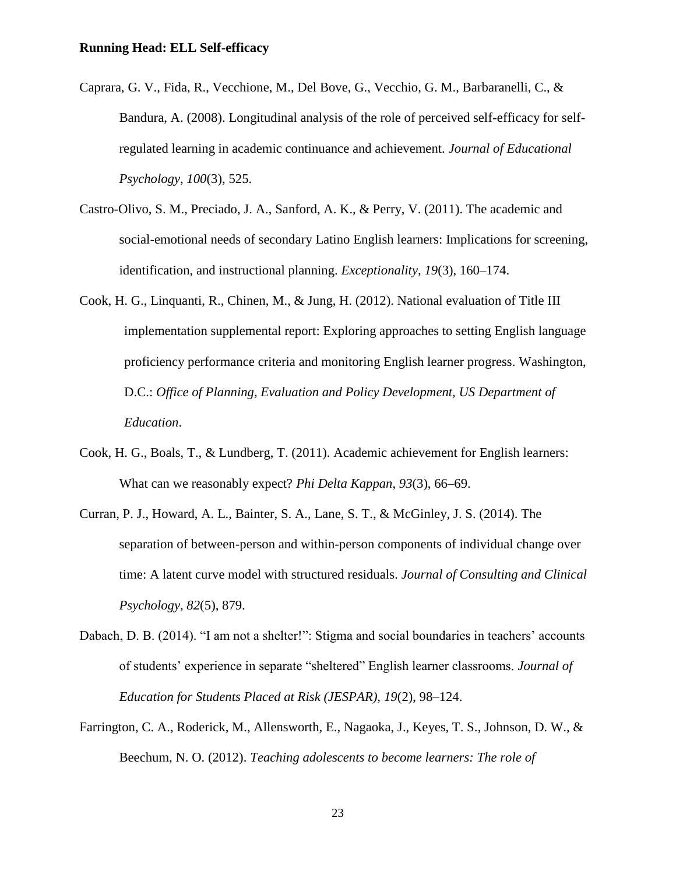- Caprara, G. V., Fida, R., Vecchione, M., Del Bove, G., Vecchio, G. M., Barbaranelli, C., & Bandura, A. (2008). Longitudinal analysis of the role of perceived self-efficacy for selfregulated learning in academic continuance and achievement. *Journal of Educational Psychology*, *100*(3), 525.
- Castro-Olivo, S. M., Preciado, J. A., Sanford, A. K., & Perry, V. (2011). The academic and social-emotional needs of secondary Latino English learners: Implications for screening, identification, and instructional planning. *Exceptionality*, *19*(3), 160–174.
- Cook, H. G., Linquanti, R., Chinen, M., & Jung, H. (2012). National evaluation of Title III implementation supplemental report: Exploring approaches to setting English language proficiency performance criteria and monitoring English learner progress. Washington, D.C.: *Office of Planning, Evaluation and Policy Development, US Department of Education*.
- Cook, H. G., Boals, T., & Lundberg, T. (2011). Academic achievement for English learners: What can we reasonably expect? *Phi Delta Kappan*, *93*(3), 66–69.
- Curran, P. J., Howard, A. L., Bainter, S. A., Lane, S. T., & McGinley, J. S. (2014). The separation of between-person and within-person components of individual change over time: A latent curve model with structured residuals. *Journal of Consulting and Clinical Psychology*, *82*(5), 879.
- Dabach, D. B. (2014). "I am not a shelter!": Stigma and social boundaries in teachers' accounts of students' experience in separate "sheltered" English learner classrooms. *Journal of Education for Students Placed at Risk (JESPAR), 19*(2), 98–124.
- Farrington, C. A., Roderick, M., Allensworth, E., Nagaoka, J., Keyes, T. S., Johnson, D. W., & Beechum, N. O. (2012). *Teaching adolescents to become learners: The role of*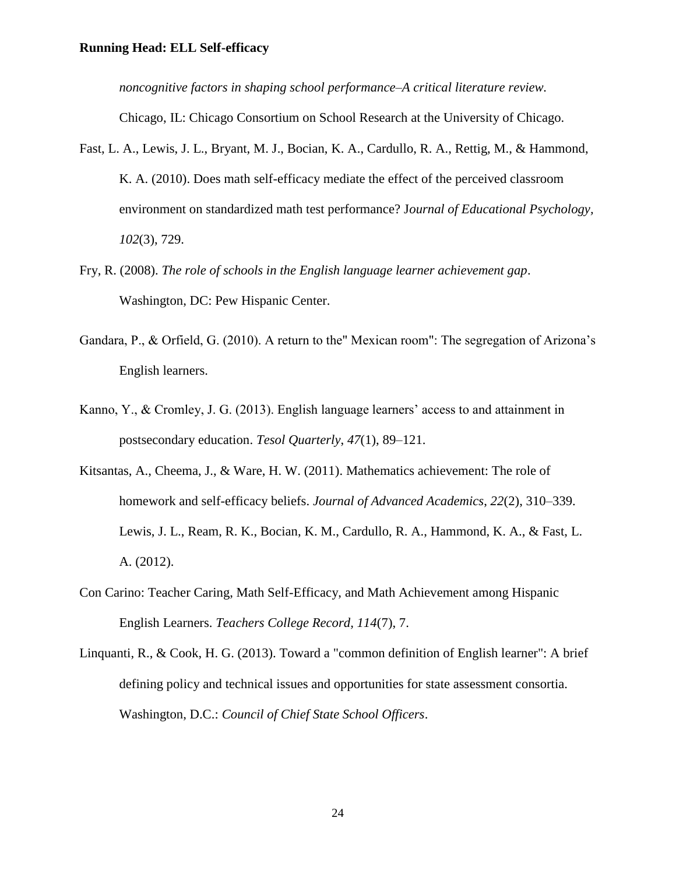*noncognitive factors in shaping school performance–A critical literature review.*

Chicago, IL: Chicago Consortium on School Research at the University of Chicago.

- Fast, L. A., Lewis, J. L., Bryant, M. J., Bocian, K. A., Cardullo, R. A., Rettig, M., & Hammond, K. A. (2010). Does math self-efficacy mediate the effect of the perceived classroom environment on standardized math test performance? J*ournal of Educational Psychology, 102*(3), 729.
- Fry, R. (2008). *The role of schools in the English language learner achievement gap*. Washington, DC: Pew Hispanic Center.
- Gandara, P., & Orfield, G. (2010). A return to the" Mexican room": The segregation of Arizona's English learners.
- Kanno, Y., & Cromley, J. G. (2013). English language learners' access to and attainment in postsecondary education. *Tesol Quarterly*, *47*(1), 89–121.
- Kitsantas, A., Cheema, J., & Ware, H. W. (2011). Mathematics achievement: The role of homework and self-efficacy beliefs. *Journal of Advanced Academics*, *22*(2), 310–339. Lewis, J. L., Ream, R. K., Bocian, K. M., Cardullo, R. A., Hammond, K. A., & Fast, L. A. (2012).
- Con Carino: Teacher Caring, Math Self-Efficacy, and Math Achievement among Hispanic English Learners. *Teachers College Record, 114*(7), 7.
- Linquanti, R., & Cook, H. G. (2013). Toward a "common definition of English learner": A brief defining policy and technical issues and opportunities for state assessment consortia. Washington, D.C.: *Council of Chief State School Officers*.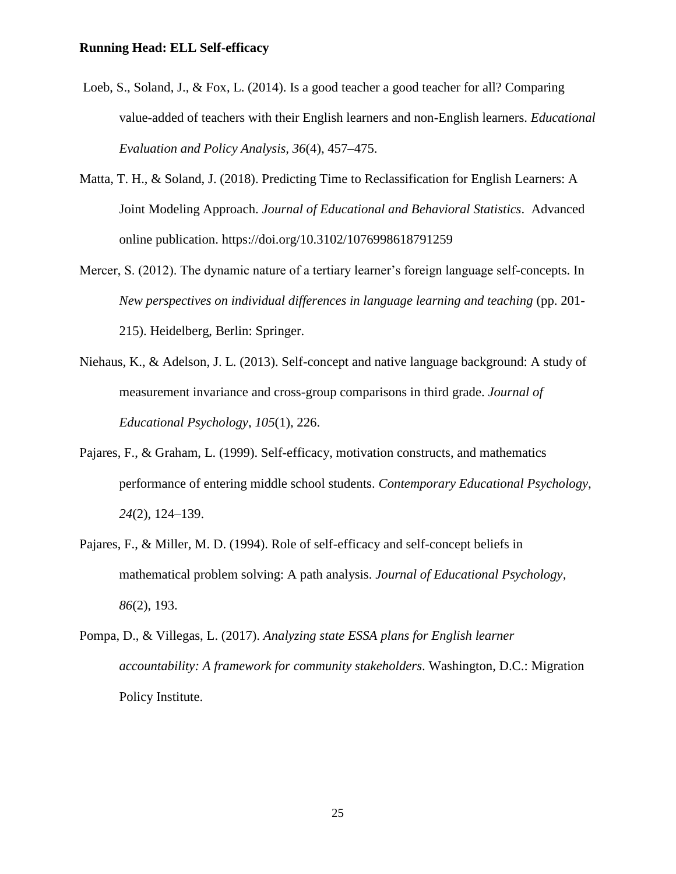- Loeb, S., Soland, J., & Fox, L. (2014). Is a good teacher a good teacher for all? Comparing value-added of teachers with their English learners and non-English learners. *Educational Evaluation and Policy Analysis, 36*(4), 457–475.
- Matta, T. H., & Soland, J. (2018). Predicting Time to Reclassification for English Learners: A Joint Modeling Approach. *Journal of Educational and Behavioral Statistics*. Advanced online publication. https://doi.org/10.3102/1076998618791259
- Mercer, S. (2012). The dynamic nature of a tertiary learner's foreign language self-concepts. In *New perspectives on individual differences in language learning and teaching* (pp. 201- 215). Heidelberg, Berlin: Springer.
- Niehaus, K., & Adelson, J. L. (2013). Self-concept and native language background: A study of measurement invariance and cross-group comparisons in third grade. *Journal of Educational Psychology*, *105*(1), 226.
- Pajares, F., & Graham, L. (1999). Self-efficacy, motivation constructs, and mathematics performance of entering middle school students. *Contemporary Educational Psychology, 24*(2), 124–139.
- Pajares, F., & Miller, M. D. (1994). Role of self-efficacy and self-concept beliefs in mathematical problem solving: A path analysis. *Journal of Educational Psychology, 86*(2), 193.
- Pompa, D., & Villegas, L. (2017). *Analyzing state ESSA plans for English learner accountability: A framework for community stakeholders*. Washington, D.C.: Migration Policy Institute.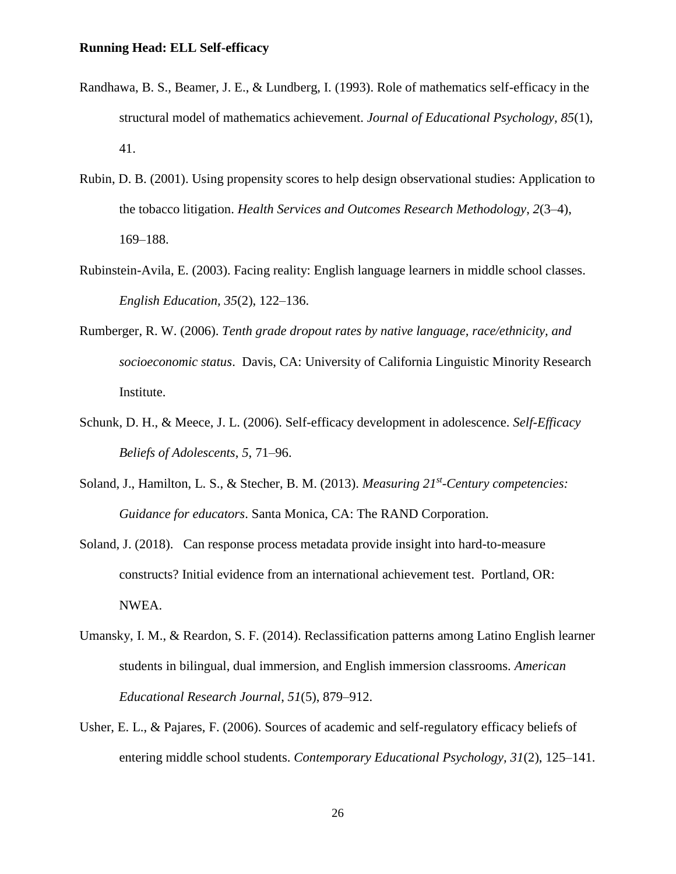- Randhawa, B. S., Beamer, J. E., & Lundberg, I. (1993). Role of mathematics self-efficacy in the structural model of mathematics achievement. *Journal of Educational Psychology, 85*(1), 41.
- Rubin, D. B. (2001). Using propensity scores to help design observational studies: Application to the tobacco litigation. *Health Services and Outcomes Research Methodology*, *2*(3–4), 169–188.
- Rubinstein-Avila, E. (2003). Facing reality: English language learners in middle school classes. *English Education, 35*(2), 122–136.
- Rumberger, R. W. (2006). *Tenth grade dropout rates by native language, race/ethnicity, and socioeconomic status*. Davis, CA: University of California Linguistic Minority Research Institute.
- Schunk, D. H., & Meece, J. L. (2006). Self-efficacy development in adolescence. *Self-Efficacy Beliefs of Adolescents*, *5*, 71–96.
- Soland, J., Hamilton, L. S., & Stecher, B. M. (2013). *Measuring 21st -Century competencies: Guidance for educators*. Santa Monica, CA: The RAND Corporation.
- Soland, J. (2018). Can response process metadata provide insight into hard-to-measure constructs? Initial evidence from an international achievement test. Portland, OR: NWEA.
- Umansky, I. M., & Reardon, S. F. (2014). Reclassification patterns among Latino English learner students in bilingual, dual immersion, and English immersion classrooms. *American Educational Research Journal*, *51*(5), 879–912.
- Usher, E. L., & Pajares, F. (2006). Sources of academic and self-regulatory efficacy beliefs of entering middle school students. *Contemporary Educational Psychology, 31*(2), 125–141.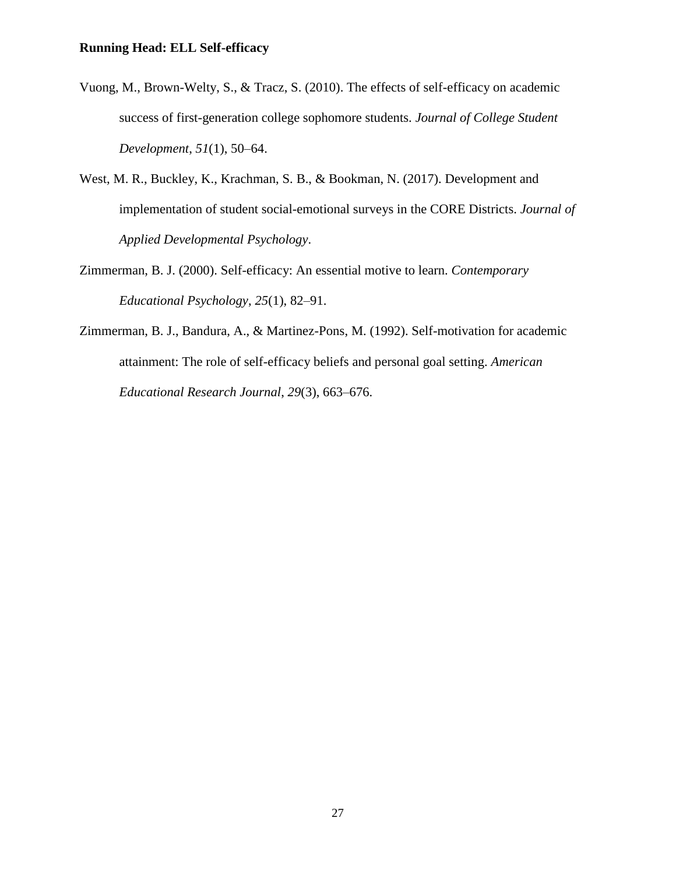- Vuong, M., Brown-Welty, S., & Tracz, S. (2010). The effects of self-efficacy on academic success of first-generation college sophomore students. *Journal of College Student Development*, *51*(1), 50–64.
- West, M. R., Buckley, K., Krachman, S. B., & Bookman, N. (2017). Development and implementation of student social-emotional surveys in the CORE Districts. *Journal of Applied Developmental Psychology*.
- Zimmerman, B. J. (2000). Self-efficacy: An essential motive to learn. *Contemporary Educational Psychology*, *25*(1), 82–91.
- Zimmerman, B. J., Bandura, A., & Martinez-Pons, M. (1992). Self-motivation for academic attainment: The role of self-efficacy beliefs and personal goal setting. *American Educational Research Journal*, *29*(3), 663–676.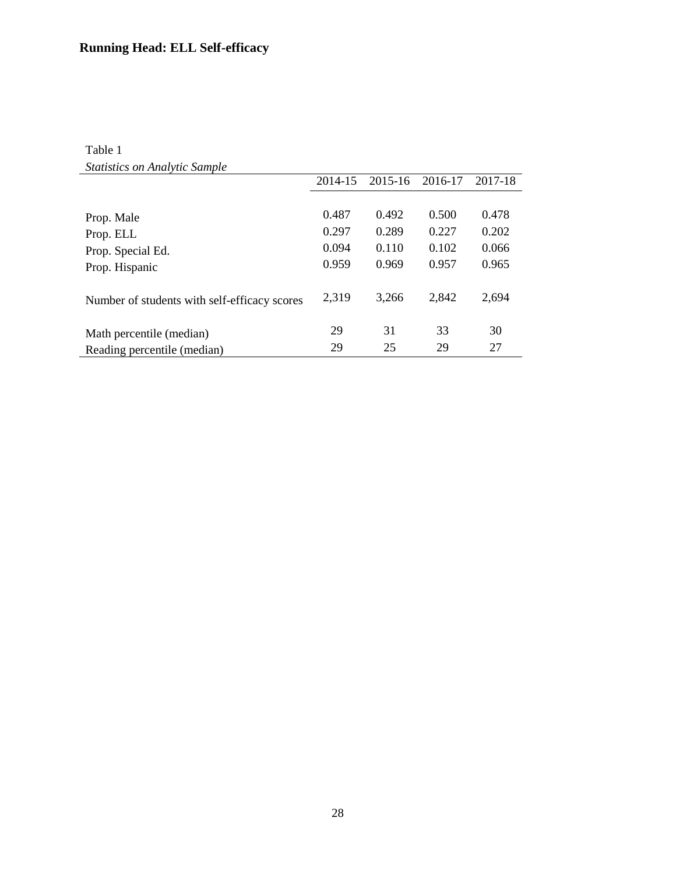## Table 1 *Statistics on Analytic Sample*

| <u>section of the filter set of the section of the section of the section of the section of the section of the s</u> |         |         |         |         |
|----------------------------------------------------------------------------------------------------------------------|---------|---------|---------|---------|
|                                                                                                                      | 2014-15 | 2015-16 | 2016-17 | 2017-18 |
|                                                                                                                      |         |         |         |         |
| Prop. Male                                                                                                           | 0.487   | 0.492   | 0.500   | 0.478   |
| Prop. ELL                                                                                                            | 0.297   | 0.289   | 0.227   | 0.202   |
| Prop. Special Ed.                                                                                                    | 0.094   | 0.110   | 0.102   | 0.066   |
| Prop. Hispanic                                                                                                       | 0.959   | 0.969   | 0.957   | 0.965   |
| Number of students with self-efficacy scores                                                                         | 2,319   | 3,266   | 2,842   | 2,694   |
| Math percentile (median)                                                                                             | 29      | 31      | 33      | 30      |
| Reading percentile (median)                                                                                          | 29      | 25      | 29      | 27      |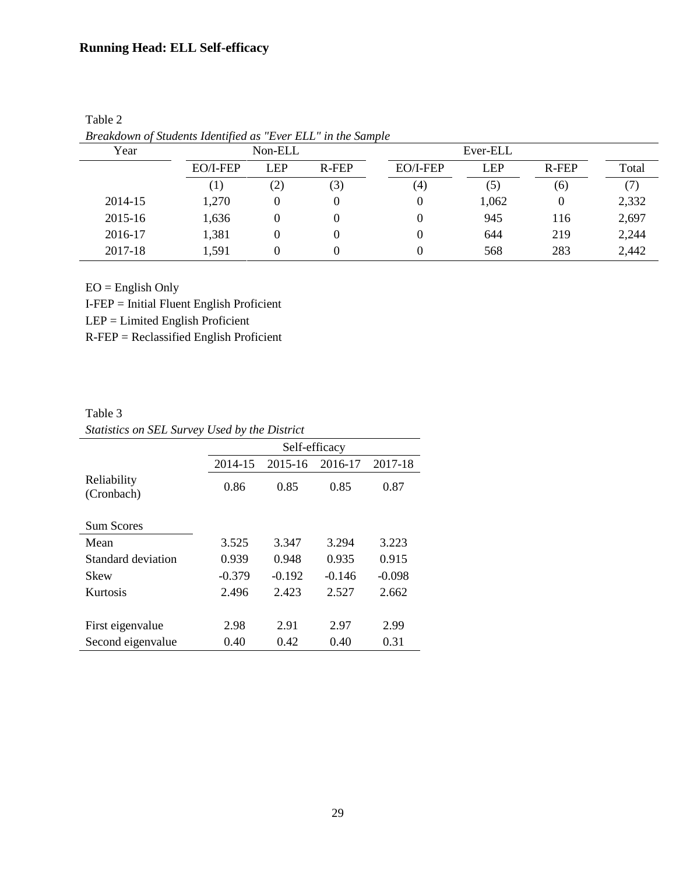| Year    |                         | Non-ELL    |       |          | Ever-ELL |       |       |  |  |
|---------|-------------------------|------------|-------|----------|----------|-------|-------|--|--|
|         | EO/I-FEP                | <b>LEP</b> | R-FEP | EO/I-FEP | LEP      | R-FEP | Total |  |  |
|         | $\lfloor \cdot \rfloor$ | (2)        | رۍ    | (4)      | (5)      | (6)   |       |  |  |
| 2014-15 | 1,270                   |            |       | 0        | 1,062    | 0     | 2,332 |  |  |
| 2015-16 | 1,636                   |            |       | 0        | 945      | 116   | 2,697 |  |  |
| 2016-17 | 1,381                   |            |       | 0        | 644      | 219   | 2,244 |  |  |
| 2017-18 | 1,591                   |            |       | 0        | 568      | 283   | 2,442 |  |  |

Table 2 *Breakdown of Students Identified as "Ever ELL" in the Sample*

 $EO = English Only$ 

I-FEP = Initial Fluent English Proficient

LEP = Limited English Proficient

R-FEP = Reclassified English Proficient

Table 3 *Statistics on SEL Survey Used by the District*

|                           | Self-efficacy |          |          |          |  |  |  |  |  |  |
|---------------------------|---------------|----------|----------|----------|--|--|--|--|--|--|
|                           | 2014-15       | 2015-16  | 2016-17  | 2017-18  |  |  |  |  |  |  |
| Reliability<br>(Cronbach) | 0.86          | 0.85     | 0.85     | 0.87     |  |  |  |  |  |  |
| <b>Sum Scores</b>         |               |          |          |          |  |  |  |  |  |  |
| Mean                      | 3.525         | 3.347    | 3.294    | 3.223    |  |  |  |  |  |  |
| Standard deviation        | 0.939         | 0.948    | 0.935    | 0.915    |  |  |  |  |  |  |
| Skew                      | $-0.379$      | $-0.192$ | $-0.146$ | $-0.098$ |  |  |  |  |  |  |
| Kurtosis                  | 2.496         | 2.423    | 2.527    | 2.662    |  |  |  |  |  |  |
|                           |               |          |          |          |  |  |  |  |  |  |
| First eigenvalue          | 2.98          | 2.91     | 2.97     | 2.99     |  |  |  |  |  |  |
| Second eigenvalue         | 0.40          | 0.42     | 0.40     | 0.31     |  |  |  |  |  |  |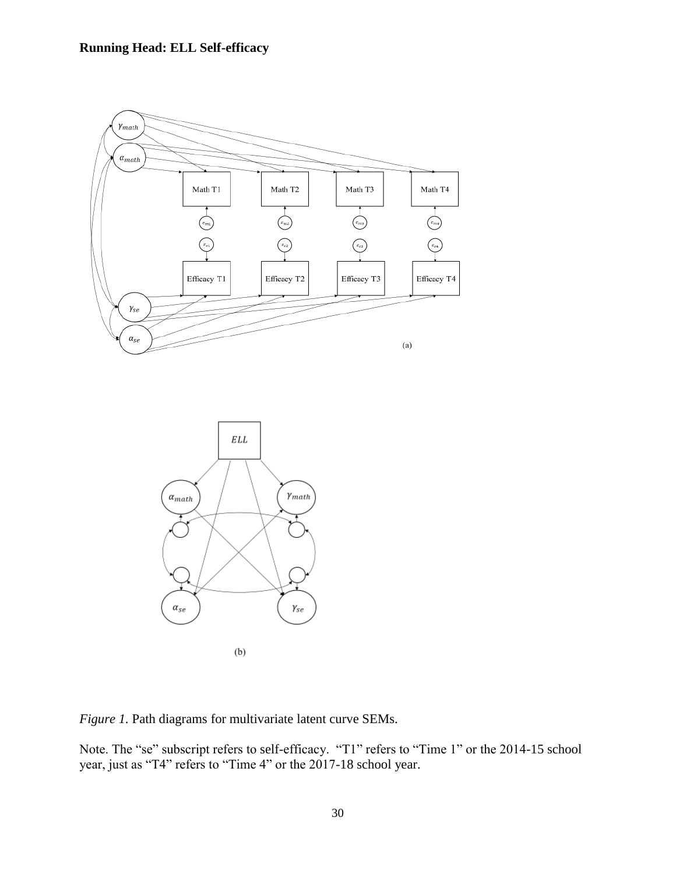



*Figure 1.* Path diagrams for multivariate latent curve SEMs.

Note. The "se" subscript refers to self-efficacy. "T1" refers to "Time 1" or the 2014-15 school year, just as "T4" refers to "Time 4" or the 2017-18 school year.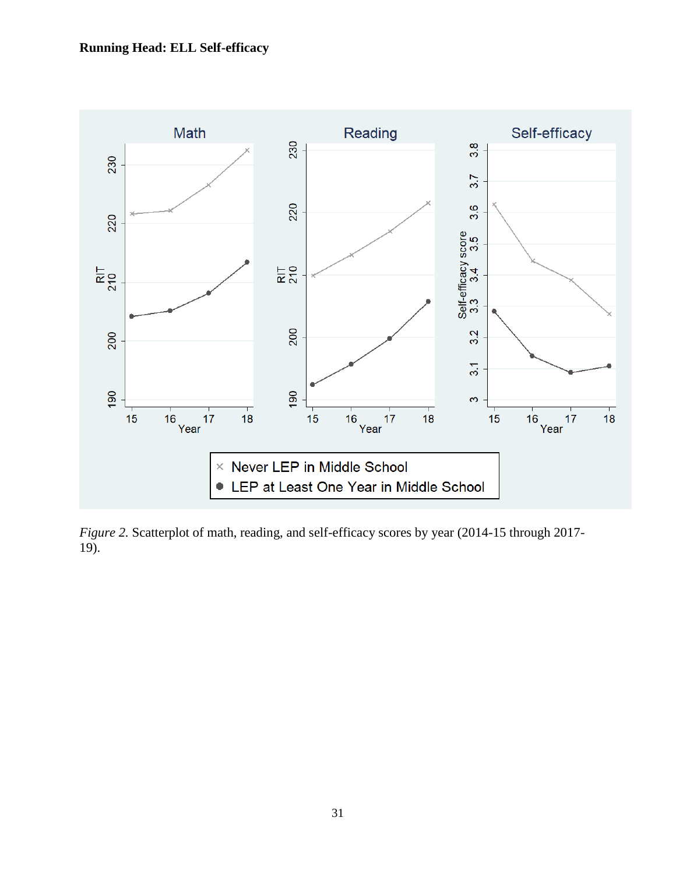

*Figure 2.* Scatterplot of math, reading, and self-efficacy scores by year (2014-15 through 2017- 19).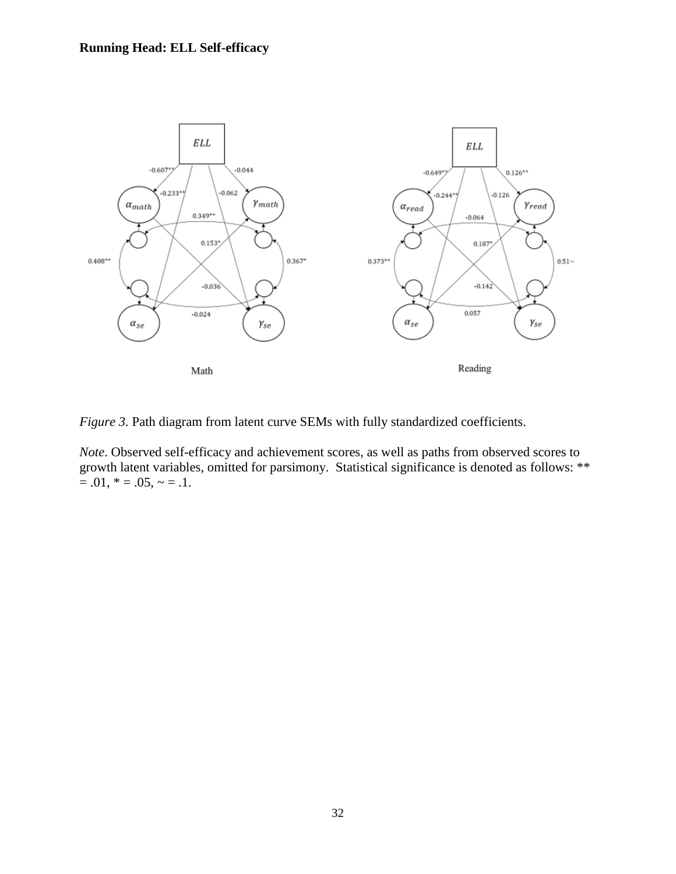

*Figure 3.* Path diagram from latent curve SEMs with fully standardized coefficients.

*Note*. Observed self-efficacy and achievement scores, as well as paths from observed scores to growth latent variables, omitted for parsimony. Statistical significance is denoted as follows: \*\*  $= .01, * = .05, ~- = .1.$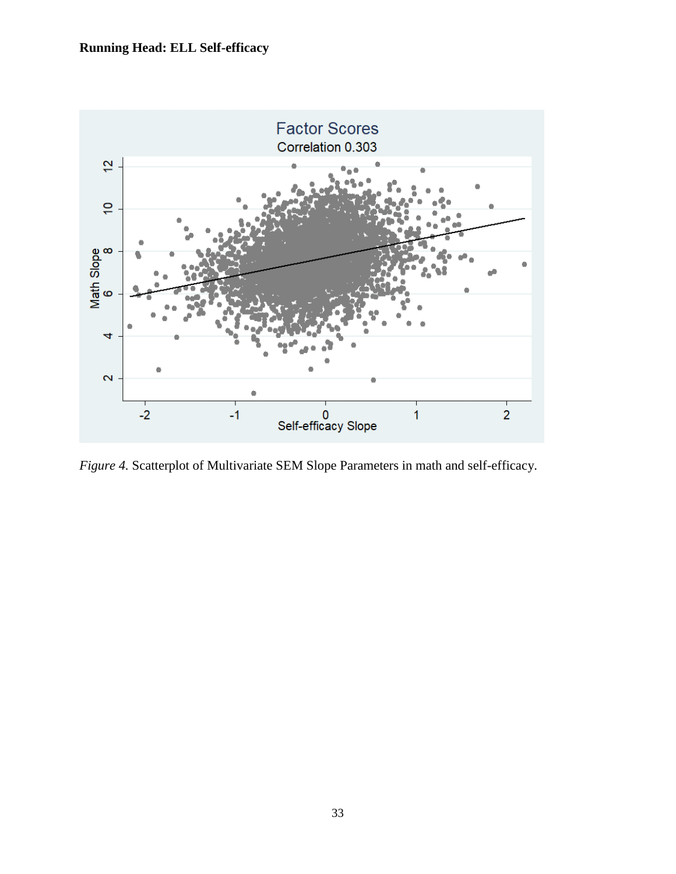

*Figure 4.* Scatterplot of Multivariate SEM Slope Parameters in math and self-efficacy.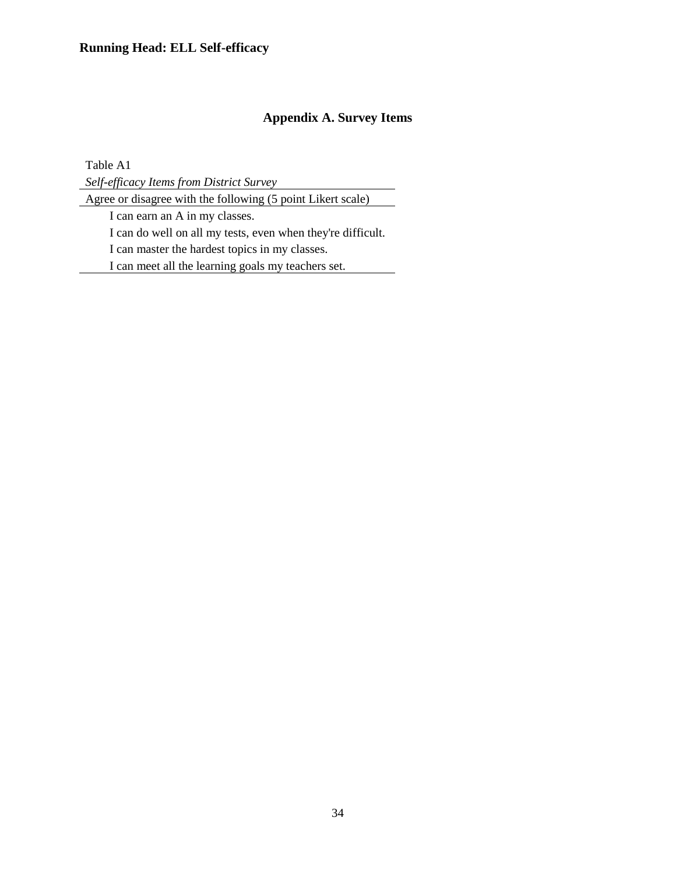## **Appendix A. Survey Items**

Table A1

*Self-efficacy Items from District Survey*

Agree or disagree with the following (5 point Likert scale)

I can earn an A in my classes.

I can do well on all my tests, even when they're difficult.

I can master the hardest topics in my classes.

I can meet all the learning goals my teachers set.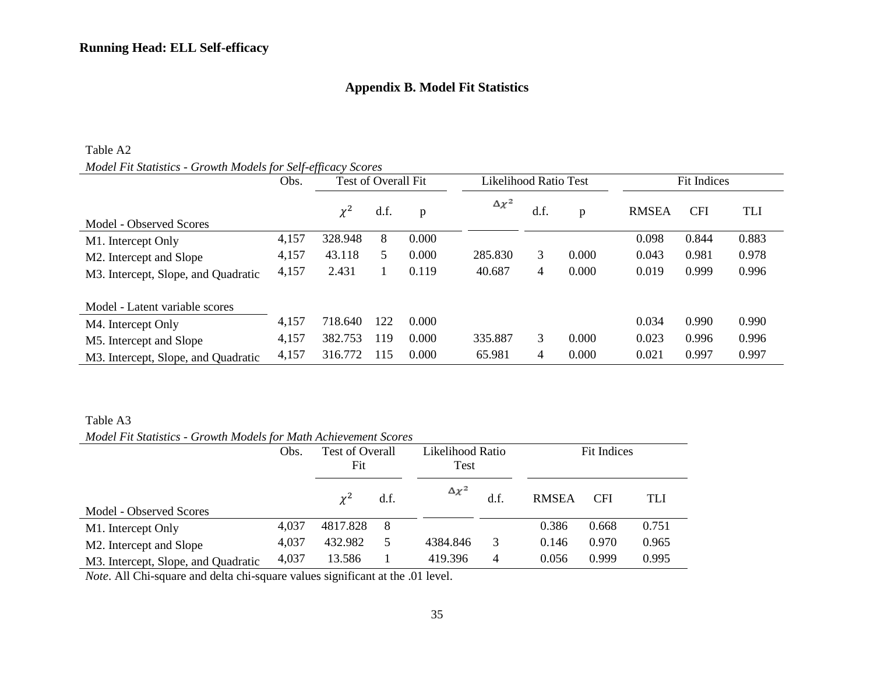## **Appendix B. Model Fit Statistics**

#### Table A2

## *Model Fit Statistics - Growth Models for Self-efficacy Scores*

|                                                  | Obs.  | Test of Overall Fit |      | Likelihood Ratio Test |                 |      | <b>Fit Indices</b> |              |            |            |
|--------------------------------------------------|-------|---------------------|------|-----------------------|-----------------|------|--------------------|--------------|------------|------------|
| Model - Observed Scores                          |       | $\chi^2$            | d.f. | p                     | $\Delta \chi^2$ | d.f. | p                  | <b>RMSEA</b> | <b>CFI</b> | <b>TLI</b> |
| M1. Intercept Only                               | 4,157 | 328.948             | 8    | 0.000                 |                 |      |                    | 0.098        | 0.844      | 0.883      |
| M <sub>2</sub> . Intercept and Slope             | 4,157 | 43.118              | 5    | 0.000                 | 285.830         | 3    | 0.000              | 0.043        | 0.981      | 0.978      |
| M3. Intercept, Slope, and Quadratic              | 4,157 | 2.431               |      | 0.119                 | 40.687          | 4    | 0.000              | 0.019        | 0.999      | 0.996      |
| Model - Latent variable scores                   |       |                     |      |                       |                 |      |                    |              |            |            |
| M4. Intercept Only                               | 4,157 | 718.640             | 122  | 0.000                 |                 |      |                    | 0.034        | 0.990      | 0.990      |
| M5. Intercept and Slope                          | 4,157 | 382.753             | 119  | 0.000                 | 335.887         | 3    | 0.000              | 0.023        | 0.996      | 0.996      |
| M <sub>3</sub> . Intercept, Slope, and Quadratic | 4,157 | 316.772             | 115  | 0.000                 | 65.981          | 4    | 0.000              | 0.021        | 0.997      | 0.997      |

#### Table A3

*Model Fit Statistics - Growth Models for Math Achievement Scores*

| model i a shahshes - Growm models for main richteventent scores |       |                               |      |                 |                  |              |             |       |  |
|-----------------------------------------------------------------|-------|-------------------------------|------|-----------------|------------------|--------------|-------------|-------|--|
|                                                                 | Obs.  | <b>Test of Overall</b><br>Fit |      | Test            | Likelihood Ratio |              | Fit Indices |       |  |
|                                                                 |       |                               |      |                 |                  |              |             |       |  |
|                                                                 |       | $\chi^2$                      | d.f. | $\Delta \chi^2$ |                  | <b>RMSEA</b> | <b>CFI</b>  | TLI   |  |
| Model - Observed Scores                                         |       |                               |      |                 |                  |              |             |       |  |
| M1. Intercept Only                                              | 4,037 | 4817.828                      | 8    |                 |                  | 0.386        | 0.668       | 0.751 |  |
| M <sub>2</sub> . Intercept and Slope                            | 4,037 | 432.982                       | 5    | 4384.846        | 3                | 0.146        | 0.970       | 0.965 |  |
| M3. Intercept, Slope, and Quadratic                             | 4,037 | 13.586                        |      | 419.396         | $\overline{4}$   | 0.056        | 0.999       | 0.995 |  |

*Note*. All Chi-square and delta chi-square values significant at the .01 level.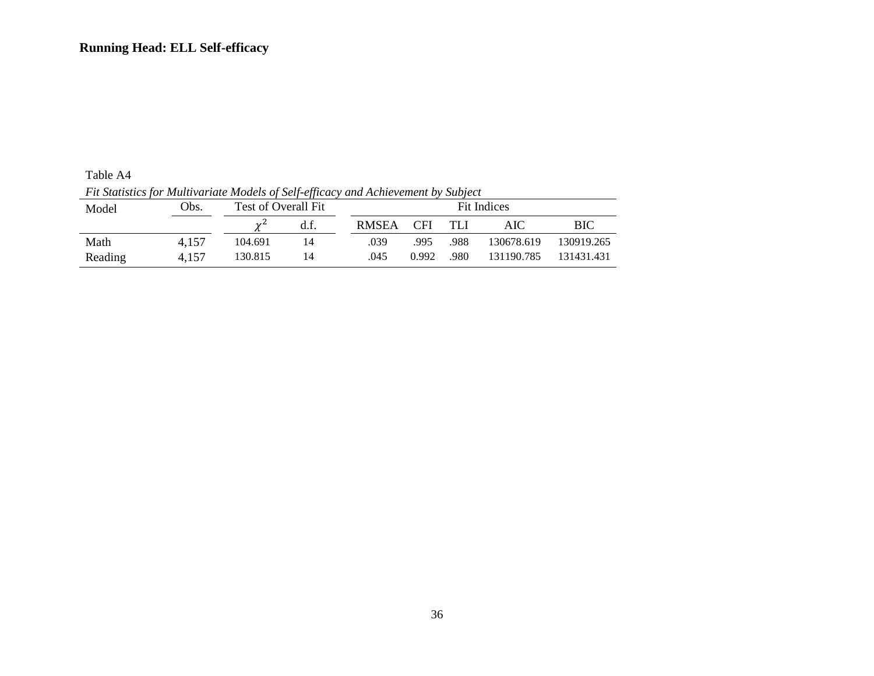Table A4 *Fit Statistics for Multivariate Models of Self-efficacy and Achievement by Subject*

| The summer for interesting through of superfective, and hence chieft by seafer |       |                             |      |              |             |      |            |            |  |  |  |  |
|--------------------------------------------------------------------------------|-------|-----------------------------|------|--------------|-------------|------|------------|------------|--|--|--|--|
| Model                                                                          | Obs.  | Test of Overall Fit         |      |              | Fit Indices |      |            |            |  |  |  |  |
|                                                                                |       | $\mathcal{V}^{\mathcal{L}}$ | d.f. | <b>RMSEA</b> | <b>CFI</b>  | TLI  | AIC        | ВIС        |  |  |  |  |
| Math                                                                           | 4.157 | 104.691                     | 14   | .039         | .995        | .988 | 130678.619 | 130919.265 |  |  |  |  |
| Reading                                                                        | 4.157 | 130.815                     | 14   | .045         | 0.992       | .980 | 131190.785 | 131431.431 |  |  |  |  |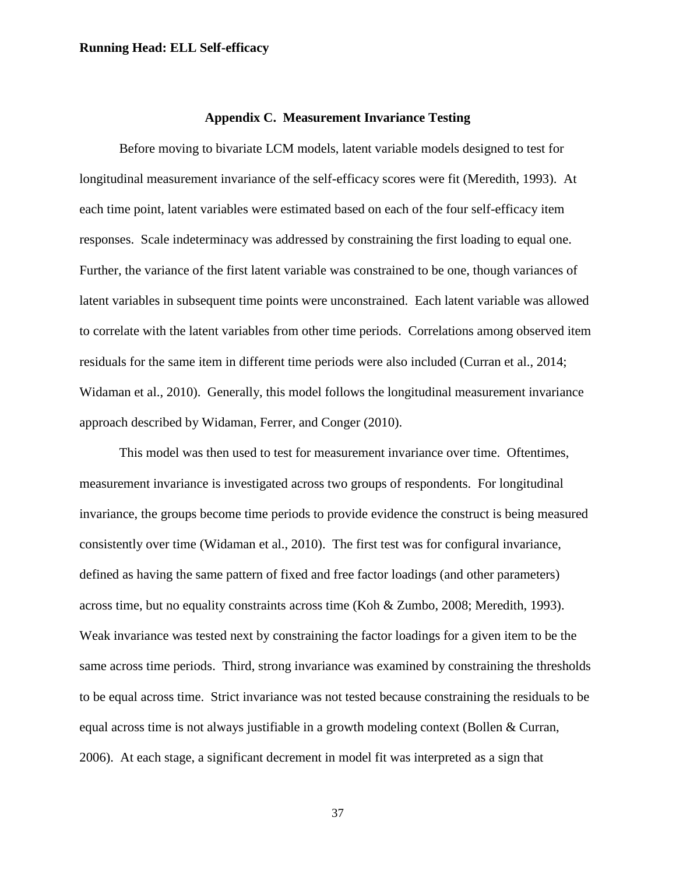#### **Appendix C. Measurement Invariance Testing**

Before moving to bivariate LCM models, latent variable models designed to test for longitudinal measurement invariance of the self-efficacy scores were fit (Meredith, 1993). At each time point, latent variables were estimated based on each of the four self-efficacy item responses. Scale indeterminacy was addressed by constraining the first loading to equal one. Further, the variance of the first latent variable was constrained to be one, though variances of latent variables in subsequent time points were unconstrained. Each latent variable was allowed to correlate with the latent variables from other time periods. Correlations among observed item residuals for the same item in different time periods were also included (Curran et al., 2014; Widaman et al., 2010). Generally, this model follows the longitudinal measurement invariance approach described by Widaman, Ferrer, and Conger (2010).

This model was then used to test for measurement invariance over time. Oftentimes, measurement invariance is investigated across two groups of respondents. For longitudinal invariance, the groups become time periods to provide evidence the construct is being measured consistently over time (Widaman et al., 2010). The first test was for configural invariance, defined as having the same pattern of fixed and free factor loadings (and other parameters) across time, but no equality constraints across time (Koh & Zumbo, 2008; Meredith, 1993). Weak invariance was tested next by constraining the factor loadings for a given item to be the same across time periods. Third, strong invariance was examined by constraining the thresholds to be equal across time. Strict invariance was not tested because constraining the residuals to be equal across time is not always justifiable in a growth modeling context (Bollen & Curran, 2006). At each stage, a significant decrement in model fit was interpreted as a sign that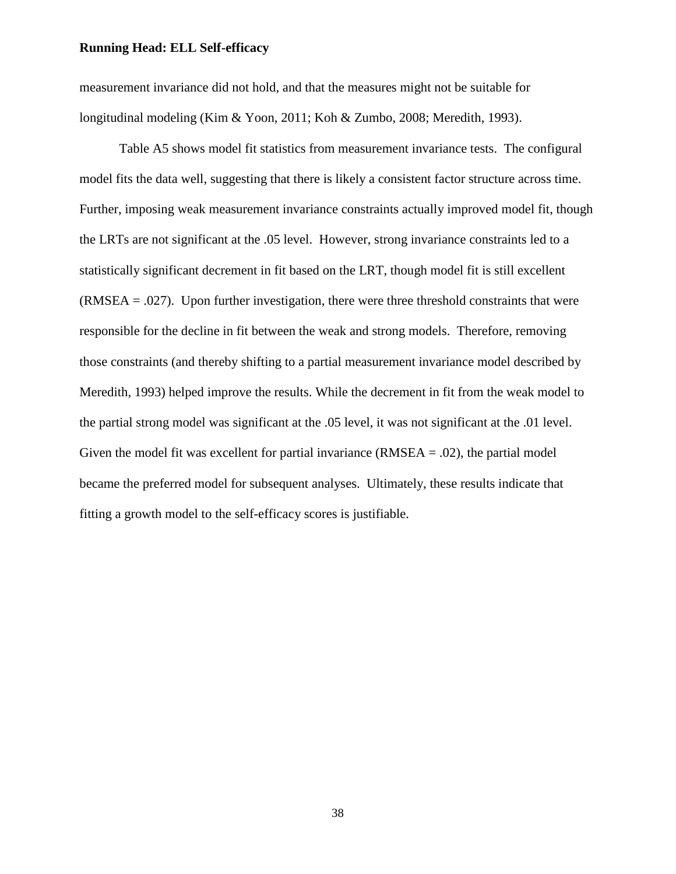measurement invariance did not hold, and that the measures might not be suitable for longitudinal modeling (Kim & Yoon, 2011; Koh & Zumbo, 2008; Meredith, 1993).

Table A5 shows model fit statistics from measurement invariance tests. The configural model fits the data well, suggesting that there is likely a consistent factor structure across time. Further, imposing weak measurement invariance constraints actually improved model fit, though the LRTs are not significant at the .05 level. However, strong invariance constraints led to a statistically significant decrement in fit based on the LRT, though model fit is still excellent (RMSEA = .027). Upon further investigation, there were three threshold constraints that were responsible for the decline in fit between the weak and strong models. Therefore, removing those constraints (and thereby shifting to a partial measurement invariance model described by Meredith, 1993) helped improve the results. While the decrement in fit from the weak model to the partial strong model was significant at the .05 level, it was not significant at the .01 level. Given the model fit was excellent for partial invariance  $(RMSEA = .02)$ , the partial model became the preferred model for subsequent analyses. Ultimately, these results indicate that fitting a growth model to the self-efficacy scores is justifiable.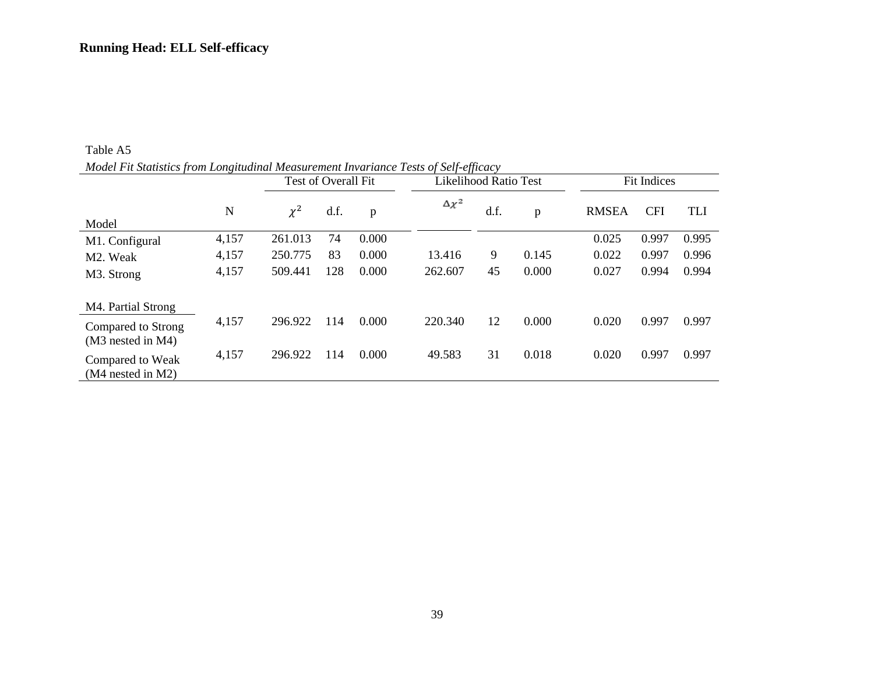|                                         | $\cdot$ |          | Test of Overall Fit |       | JJ<br>Likelihood Ratio Test |      |       |              | Fit Indices |            |  |
|-----------------------------------------|---------|----------|---------------------|-------|-----------------------------|------|-------|--------------|-------------|------------|--|
| Model                                   | N       | $\chi^2$ | d.f.                | p     | $\Delta \chi^2$             | d.f. | p     | <b>RMSEA</b> | <b>CFI</b>  | <b>TLI</b> |  |
| M1. Configural                          | 4,157   | 261.013  | 74                  | 0.000 |                             |      |       | 0.025        | 0.997       | 0.995      |  |
| M2. Weak                                | 4,157   | 250.775  | 83                  | 0.000 | 13.416                      | 9    | 0.145 | 0.022        | 0.997       | 0.996      |  |
| M3. Strong                              | 4,157   | 509.441  | 128                 | 0.000 | 262.607                     | 45   | 0.000 | 0.027        | 0.994       | 0.994      |  |
| M <sub>4</sub> . Partial Strong         |         |          |                     |       |                             |      |       |              |             |            |  |
| Compared to Strong<br>(M3 nested in M4) | 4,157   | 296.922  | 114                 | 0.000 | 220.340                     | 12   | 0.000 | 0.020        | 0.997       | 0.997      |  |
| Compared to Weak<br>$(M4$ nested in M2) | 4,157   | 296.922  | 114                 | 0.000 | 49.583                      | 31   | 0.018 | 0.020        | 0.997       | 0.997      |  |

Table A5 *Model Fit Statistics from Longitudinal Measurement Invariance Tests of Self-efficacy*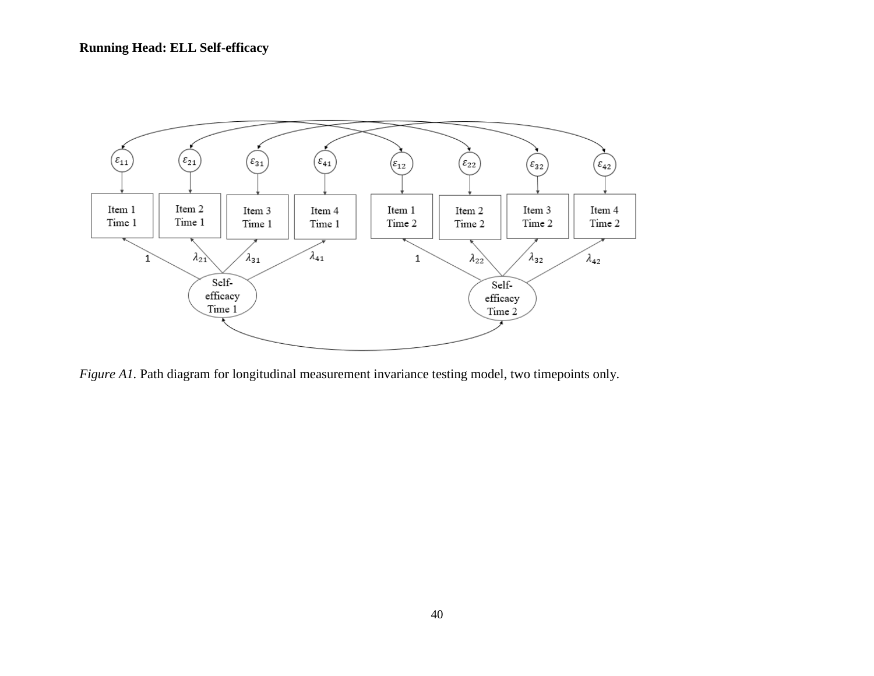

*Figure A1*. Path diagram for longitudinal measurement invariance testing model, two timepoints only.